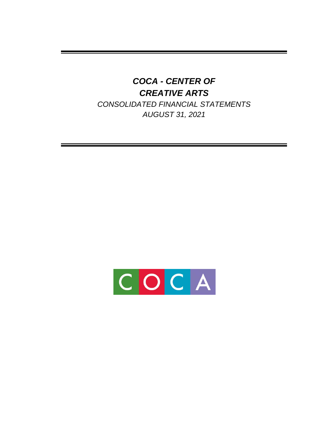*CONSOLIDATED FINANCIAL STATEMENTS AUGUST 31, 2021* 

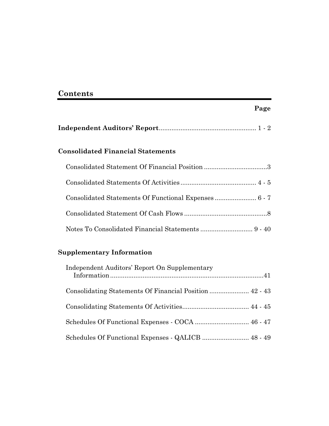## **Contents**

| <b>Consolidated Financial Statements</b>              |  |
|-------------------------------------------------------|--|
| Consolidated Statement Of Financial Position 3        |  |
|                                                       |  |
| Consolidated Statements Of Functional Expenses  6 - 7 |  |
|                                                       |  |
|                                                       |  |

**Page** 

## **Supplementary Information**

| Independent Auditors' Report On Supplementary |
|-----------------------------------------------|
|                                               |
|                                               |
|                                               |
|                                               |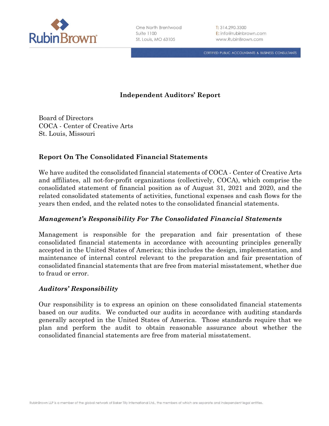

CERTIFIED PUBLIC ACCOUNTANTS & BUSINESS CONSULTANTS

## **Independent Auditors' Report**

Board of Directors COCA - Center of Creative Arts St. Louis, Missouri

### **Report On The Consolidated Financial Statements**

We have audited the consolidated financial statements of COCA - Center of Creative Arts and affiliates, all not-for-profit organizations (collectively, COCA), which comprise the consolidated statement of financial position as of August 31, 2021 and 2020, and the related consolidated statements of activities, functional expenses and cash flows for the years then ended, and the related notes to the consolidated financial statements.

#### *Management's Responsibility For The Consolidated Financial Statements*

Management is responsible for the preparation and fair presentation of these consolidated financial statements in accordance with accounting principles generally accepted in the United States of America; this includes the design, implementation, and maintenance of internal control relevant to the preparation and fair presentation of consolidated financial statements that are free from material misstatement, whether due to fraud or error.

#### *Auditors' Responsibility*

Our responsibility is to express an opinion on these consolidated financial statements based on our audits. We conducted our audits in accordance with auditing standards generally accepted in the United States of America. Those standards require that we plan and perform the audit to obtain reasonable assurance about whether the consolidated financial statements are free from material misstatement.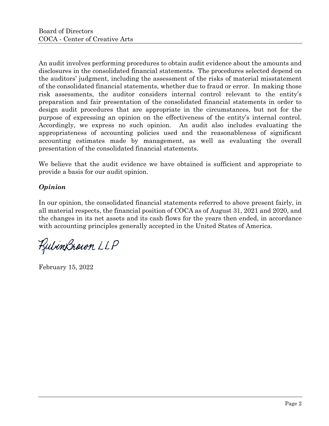An audit involves performing procedures to obtain audit evidence about the amounts and disclosures in the consolidated financial statements. The procedures selected depend on the auditors' judgment, including the assessment of the risks of material misstatement of the consolidated financial statements, whether due to fraud or error. In making those risk assessments, the auditor considers internal control relevant to the entity's preparation and fair presentation of the consolidated financial statements in order to design audit procedures that are appropriate in the circumstances, but not for the purpose of expressing an opinion on the effectiveness of the entity's internal control. Accordingly, we express no such opinion. An audit also includes evaluating the appropriateness of accounting policies used and the reasonableness of significant accounting estimates made by management, as well as evaluating the overall presentation of the consolidated financial statements.

We believe that the audit evidence we have obtained is sufficient and appropriate to provide a basis for our audit opinion.

## *Opinion*

In our opinion, the consolidated financial statements referred to above present fairly, in all material respects, the financial position of COCA as of August 31, 2021 and 2020, and the changes in its net assets and its cash flows for the years then ended, in accordance with accounting principles generally accepted in the United States of America.

RubinBrown LLP

February 15, 2022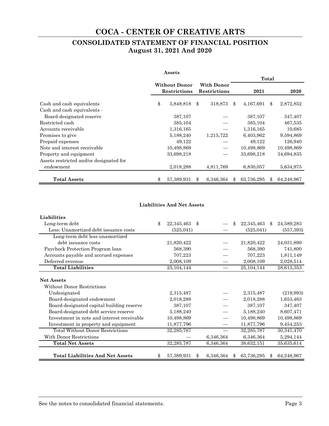## **CONSOLIDATED STATEMENT OF FINANCIAL POSITION August 31, 2021 And 2020**

|                                         | Assets                                      |                                   |     |            |       |            |
|-----------------------------------------|---------------------------------------------|-----------------------------------|-----|------------|-------|------------|
|                                         |                                             |                                   |     |            | Total |            |
|                                         | <b>Without Donor</b><br><b>Restrictions</b> | <b>With Donor</b><br>Restrictions |     | 2021       |       | 2020       |
| Cash and cash equivalents               | \$<br>3,848,818                             | \$<br>318,873                     | \$  | 4,167,691  | \$    | 2,872,852  |
| Cash and cash equivalents -             |                                             |                                   |     |            |       |            |
| Board-designated reserve                | 387,107                                     |                                   |     | 387,107    |       | 347,407    |
| Restricted cash                         | 385,104                                     |                                   |     | 385,104    |       | 467,535    |
| Accounts receivable                     | 1,316,165                                   |                                   |     | 1,316,165  |       | 10,685     |
| Promises to give                        | 5,188,240                                   | 1,215,722                         |     | 6,403,962  |       | 9,594,869  |
| Prepaid expenses                        | 49,122                                      |                                   |     | 49,122     |       | 126,940    |
| Note and interest receivable            | 10,498,869                                  |                                   |     | 10,498,869 |       | 10,498,869 |
| Property and equipment                  | 33,698,218                                  |                                   |     | 33,698,218 |       | 34,694,835 |
| Assets restricted and/or designated for |                                             |                                   |     |            |       |            |
| endowment                               | 2,018,288                                   | 4,811,769                         |     | 6,830,057  |       | 5,634,975  |
| <b>Total Assets</b>                     | \$<br>57,389,931                            | \$<br>6,346,364                   | \$. | 63,736,295 | \$    | 64,248,967 |

#### **Liabilities And Net Assets**

| <b>Liabilities</b>                              |                  |     |           |     |              |                  |
|-------------------------------------------------|------------------|-----|-----------|-----|--------------|------------------|
| Long-term debt                                  | \$<br>22,345,463 | \$  |           | \$  | 22,345,463   | \$<br>24,589,283 |
| Less: Unamortized debt issuance costs           | (525, 041)       |     |           |     | (525, 041)   | (557, 393)       |
| Long-term debt less unamortized                 |                  |     |           |     |              |                  |
| debt issuance costs                             | 21,820,422       |     |           |     | 21,820,422   | 24,031,890       |
| Paycheck Protection Program loan                | 568,390          |     |           |     | 568,390      | 741,800          |
| Accounts payable and accrued expenses           | 707,223          |     |           |     | 707,223      | 1,811,149        |
| Deferred revenue                                | 2,008,109        |     |           |     | 2,008,109    | 2,028,514        |
| <b>Total Liabilities</b>                        | 25, 104, 144     |     |           |     | 25, 104, 144 | 28,613,353       |
| <b>Net Assets</b><br>Without Donor Restrictions |                  |     |           |     |              |                  |
| Undesignated                                    | 2,315,487        |     |           |     | 2,315,487    | (219,993)        |
| Board-designated endowment                      | 2,018,288        |     |           |     | 2,018,288    | 1,653,463        |
| Board-designated capital building reserve       | 387,107          |     |           |     | 387,107      | 347,407          |
| Board-designated debt service reserve           | 5,188,240        |     |           |     | 5,188,240    | 8,607,471        |
| Investment in note and interest receivable      | 10,498,869       |     |           |     | 10,498,869   | 10,498,869       |
| Investment in property and equipment            | 11,877,796       |     |           |     | 11,877,796   | 9,454,253        |
| <b>Total Without Donor Restrictions</b>         | 32,285,787       |     |           |     | 32,285,787   | 30,341,470       |
| With Donor Restrictions                         |                  |     | 6,346,364 |     | 6,346,364    | 5,294,144        |
| <b>Total Net Assets</b>                         | 32,285,787       |     | 6,346,364 |     | 38,632,151   | 35,635,614       |
| <b>Total Liabilities And Net Assets</b>         | \$<br>57,389,931 | \$. | 6,346,364 | \$. | 63,736,295   | \$<br>64,248,967 |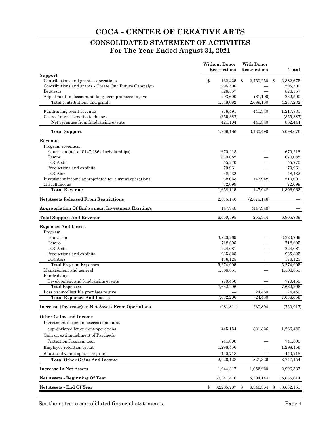## **CONSOLIDATED STATEMENT OF ACTIVITIES For The Year Ended August 31, 2021**

|                                                                         | <b>Without Donor</b><br>Restrictions | With Donor<br>Restrictions | Total              |
|-------------------------------------------------------------------------|--------------------------------------|----------------------------|--------------------|
| Support                                                                 |                                      |                            |                    |
| Contributions and grants - operations                                   | \$<br>132,425                        | 2,750,250<br>\$            | \$<br>2,882,675    |
| Contributions and grants - Create Our Future Campaign                   | 295,500                              |                            | 295,500            |
| <b>Bequests</b><br>Adjustment to discount on long-term promises to give | 826,557<br>293,600                   | (61, 100)                  | 826,557<br>232,500 |
| Total contributions and grants                                          | 1,548,082                            | 2,689,150                  | 4,237,232          |
|                                                                         |                                      |                            |                    |
| Fundraising event revenue                                               | 776,491                              | 441,340                    | 1,217,831          |
| Costs of direct benefits to donors                                      | (355, 387)                           |                            | (355, 387)         |
| Net revenues from fundraising events                                    | 421.104                              | 441,340                    | 862,444            |
| <b>Total Support</b>                                                    | 1,969,186                            | 3,130,490                  | 5,099,676          |
| Revenue                                                                 |                                      |                            |                    |
| Program revenues:                                                       |                                      |                            |                    |
| Education (net of \$147,286 of scholarships)                            | 670,218                              |                            | 670,218            |
| Camps                                                                   | 670,082                              |                            | 670,082            |
| COCAedu                                                                 | 55,270                               |                            | 55,270             |
| Productions and exhibits<br>COCAbiz                                     | 79,961<br>48,432                     |                            | 79,961<br>48,432   |
| Investment income appropriated for current operations                   | 62,053                               | 147,948                    | 210,001            |
| Miscellaneous                                                           | 72,099                               |                            | 72.099             |
| <b>Total Revenue</b>                                                    | 1,658,115                            | 147,948                    | 1,806,063          |
| <b>Net Assets Released From Restrictions</b>                            | 2,875,146                            | (2,875,146)                |                    |
| <b>Appropriation Of Endowment Investment Earnings</b>                   | 147,948                              | (147, 948)                 |                    |
| <b>Total Support And Revenue</b>                                        | 6,650,395                            | 255,344                    | 6,905,739          |
| <b>Expenses And Losses</b>                                              |                                      |                            |                    |
| Program:                                                                |                                      |                            |                    |
| Education                                                               | 3,220,269                            |                            | 3,220,269          |
| Camps                                                                   | 718,605                              |                            | 718,605            |
| COCAedu                                                                 | 224,081                              |                            | 224,081            |
| Productions and exhibits                                                | 935,825                              |                            | 935,825            |
| COCAbiz                                                                 | 176,125                              |                            | 176,125            |
| <b>Total Program Expenses</b>                                           | 5,274,905                            |                            | 5,274,905          |
| Management and general<br>Fundraising:                                  | 1,586,851                            |                            | 1,586,851          |
| Development and fundraising events                                      | 770,450                              |                            | 770,450            |
| <b>Total Expenses</b>                                                   | 7,632,206                            |                            | 7,632,206          |
| Loss on uncollectible promises to give                                  |                                      | 24,450                     | 24,450             |
| <b>Total Expenses And Losses</b>                                        | 7,632,206                            | 24,450                     | 7,656,656          |
| Increase (Decrease) In Net Assets From Operations                       | (981, 811)                           | 230,894                    | (750, 917)         |
| <b>Other Gains and Income</b>                                           |                                      |                            |                    |
| Investment income in excess of amount                                   |                                      |                            |                    |
| appropriated for current operations                                     | 445,154                              | 821,326                    | 1,266,480          |
| Gain on extinguishment of Paycheck                                      |                                      |                            |                    |
| Protection Program loan                                                 | 741,800                              |                            | 741,800            |
| Employee retention credit                                               | 1,298,456                            |                            | 1,298,456          |
| Shuttered venue operators grant                                         | 440,718                              |                            | 440,718            |
| <b>Total Other Gains And Income</b>                                     | 2,926,128                            | 821,326                    | 3,747,454          |
| <b>Increase In Net Assets</b>                                           | 1,944,317                            | 1,052,220                  | 2,996,537          |
| Net Assets - Beginning Of Year                                          | 30, 341, 470                         | 5,294,144                  | 35,635,614         |
| Net Assets - End Of Year                                                | \$<br>32,285,787                     | 6,346,364<br>\$            | \$<br>38,632,151   |

See the notes to consolidated financial statements. Page 4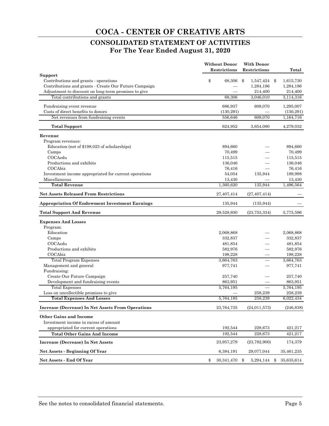## **CONSOLIDATED STATEMENT OF ACTIVITIES For The Year Ended August 31, 2020**

|                                                       | <b>Without Donor</b> | <b>With Donor</b>  |                  |
|-------------------------------------------------------|----------------------|--------------------|------------------|
|                                                       | Restrictions         | Restrictions       | Total            |
| Support<br>Contributions and grants - operations      | \$<br>68,306         | \$<br>1,547,424 \$ | 1,615,730        |
| Contributions and grants - Create Our Future Campaign |                      | 1,284,186          | 1,284,186        |
| Adjustment to discount on long-term promises to give  |                      | 214,400            | 214,400          |
| Total contributions and grants                        | 68,306               | 3,046,010          | 3,114,316        |
| Fundraising event revenue                             | 686,937              | 608,070            | 1,295,007        |
| Costs of direct benefits to donors                    | (130, 291)           |                    | (130, 291)       |
| Net revenues from fundraising events                  | 556,646              | 608,070            | 1,164,716        |
| <b>Total Support</b>                                  | 624,952              | 3,654,080          | 4,279,032        |
| Revenue                                               |                      |                    |                  |
| Program revenues:                                     |                      |                    |                  |
| Education (net of \$198,023 of scholarships)          | 894,660              |                    | 894,660          |
| Camps                                                 | 70,499               |                    | 70,499           |
| COCAedu                                               | 115,515              |                    | 115,515          |
| Productions and exhibits                              | 136,046              |                    | 136,046          |
| COCAbiz                                               | 76,416               |                    | 76,416           |
| Investment income appropriated for current operations | 54,054               | 135,944            | 189,998          |
| Miscellaneous                                         | 13,430               |                    | 13,430           |
| <b>Total Revenue</b>                                  | 1,360,620            | 135,944            | 1,496,564        |
| <b>Net Assets Released From Restrictions</b>          | 27,407,414           | (27, 407, 414)     |                  |
| <b>Appropriation Of Endowment Investment Earnings</b> | 135,944              | (135, 944)         |                  |
| <b>Total Support And Revenue</b>                      | 29,528,930           | (23, 753, 334)     | 5,775,596        |
| <b>Expenses And Losses</b>                            |                      |                    |                  |
| Program:                                              |                      |                    |                  |
| Education                                             | 2,068,868            |                    | 2,068,868        |
| Camps                                                 | 332,837              |                    | 332,837          |
| COCAedu                                               | 481,854              |                    | 481,854          |
| Productions and exhibits                              | 582,976              |                    | 582,976          |
| COCAbiz                                               | 198,228              |                    | 198,228          |
| <b>Total Program Expenses</b>                         | 3,664,763            |                    | 3,664,763        |
| Management and general                                | 977,741              |                    | 977,741          |
| Fundraising:                                          |                      |                    |                  |
| Create Our Future Campaign                            | 257,740              |                    | 257,740          |
| Development and fundraising events                    | 863,951              |                    | 863,951          |
| <b>Total Expenses</b>                                 | 5,764,195            |                    | 5,764,195        |
| Loss on uncollectible promises to give                |                      | 258,239            | 258,239          |
| <b>Total Expenses And Losses</b>                      | 5,764,195            | 258,239            | 6,022,434        |
| Increase (Decrease) In Net Assets From Operations     | 23,764,735           | (24, 011, 573)     | (246, 838)       |
| <b>Other Gains and Income</b>                         |                      |                    |                  |
| Investment income in excess of amount                 |                      |                    |                  |
| appropriated for current operations                   | 192,544              | 228,673            | 421,217          |
| <b>Total Other Gains And Income</b>                   | 192,544              | 228,673            | 421,217          |
| Increase (Decrease) In Net Assets                     | 23,957,279           | (23, 782, 900)     | 174,379          |
| Net Assets - Beginning Of Year                        | 6,384,191            | 29,077,044         | 35,461,235       |
| Net Assets - End Of Year                              | \$<br>30,341,470     | \$<br>5,294,144    | 35,635,614<br>\$ |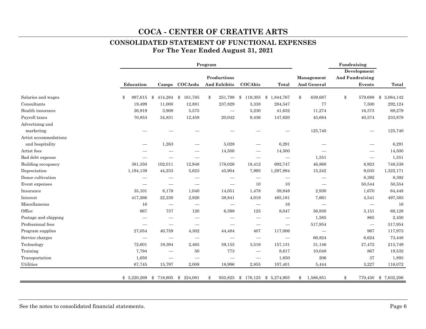### **CONSOLIDATED STATEMENT OF FUNCTIONAL EXPENSES For The Year Ended August 31, 2021**

|                       |               |                          | Program            |                                   | Fundraising<br>Development      |                          |                                  |               |                 |
|-----------------------|---------------|--------------------------|--------------------|-----------------------------------|---------------------------------|--------------------------|----------------------------------|---------------|-----------------|
|                       |               |                          |                    | Productions                       |                                 | <b>And Fundraising</b>   |                                  |               |                 |
|                       | Education     |                          | Camps COCAedu      | And Exhibits                      | COCAbiz                         | <b>Total</b>             | Management<br><b>And General</b> | Events        | Total           |
| Salaries and wages    | 897,615<br>\$ | \$                       | 414,264 \$ 161,785 | 251,798<br>\$                     | \$119,305                       | \$1,844,767              | 639,687<br>\$                    | \$<br>579,688 | 3,064,142<br>\$ |
| Consultants           | 19,499        | 11,000                   | 12,881             | 237,829                           | 3,338                           | 284,547                  | 77                               | 7,500         | 292,124         |
| Health insurance      | 26,919        | 3,908                    | 5,575              | $\overline{\phantom{0}}$          | 5,230                           | 41,632                   | 11,274                           | 16,373        | 69,279          |
| Payroll taxes         | 70,853        | 34,831                   | 12,458             | 20,042                            | 9,436                           | 147,620                  | 45,684                           | 40,574        | 233,878         |
| Advertising and       |               |                          |                    |                                   |                                 |                          |                                  |               |                 |
| marketing             |               |                          |                    |                                   |                                 |                          | 125,740                          |               | 125,740         |
| Artist accommodations |               |                          |                    |                                   |                                 |                          |                                  |               |                 |
| and hospitality       |               | 1,263                    |                    | 5,028                             |                                 | 6,291                    |                                  |               | 6,291           |
| Artist fees           |               |                          |                    | 14,500                            |                                 | 14,500                   |                                  |               | 14,500          |
| Bad debt expense      |               |                          |                    | $\overbrace{\phantom{123221111}}$ |                                 |                          | 1,551                            |               | 1,551           |
| Building occupancy    | 381,350       | 102,011                  | 12,948             | 178,026                           | 18,412                          | 692,747                  | 46,868                           | 8,923         | 748,538         |
| Depreciation          | 1,194,139     | 44,233                   | 5,623              | 45,904                            | 7,995                           | 1,297,894                | 15,242                           | 9,035         | 1,322,171       |
| Donor cultivation     |               |                          |                    | —                                 | —                               |                          | $\hspace{0.1mm}-\hspace{0.1mm}$  | 8,392         | 8,392           |
| Event expenses        |               |                          |                    |                                   | 10                              | 10                       |                                  | 50,544        | 50,554          |
| Insurance             | 35,101        | 8,178                    | 1,040              | 14,051                            | 1,478                           | 59,848                   | 2,930                            | 1,670         | 64,448          |
| Interest              | 417,266       | 22,230                   | 2,826              | 38,841                            | 4,018                           | 485,181                  | 7,661                            | 4,541         | 497,383         |
| Miscellaneous         | 16            |                          |                    |                                   | $\hspace{0.1mm}-\hspace{0.1mm}$ | 16                       | $\hspace{0.1mm}-\hspace{0.1mm}$  |               | 16              |
| Office                | 667           | 737                      | 120                | 6,398                             | 125                             | 8,047                    | 56,930                           | 3,151         | 68,128          |
| Postage and shipping  |               |                          |                    |                                   |                                 |                          | 1,585                            | 865           | 2,450           |
| Professional fees     |               | $\overline{\phantom{0}}$ |                    | $\overline{\phantom{0}}$          | —                               | $\overline{\phantom{0}}$ | 517,954                          |               | 517,954         |
| Program supplies      | 27,054        | 40,759                   | 4,302              | 44,484                            | 407                             | 117,006                  |                                  | 967           | 117,973         |
| Service charges       |               |                          |                    | $\overline{\phantom{0}}$          |                                 |                          | 66,824                           | 6,624         | 73,448          |
| Technology            | 72,601        | 19,394                   | 2,465              | 59,155                            | 3,516                           | 157,131                  | 31,146                           | 27,472        | 215,749         |
| Training              | 7,794         | $\overline{\phantom{0}}$ | 50                 | 773                               | $\overline{\phantom{0}}$        | 8,617                    | 10,048                           | 867           | 19,532          |
| Transportation        | 1,650         |                          |                    |                                   | $\overline{\phantom{0}}$        | 1,650                    | $\,206$                          | 37            | 1,893           |
| Utilities             | 67,745        | 15,797                   | 2,008              | 18,996                            | 2,855                           | 107,401                  | 5,444                            | 3,227         | 116,072         |
|                       | \$3,220,269   | \$<br>718,605            | \$224,081          | 935,825<br>\$                     | \$176,125                       | \$5,274,905              | 1,586,851<br>\$                  | \$<br>770,450 | \$7,632,206     |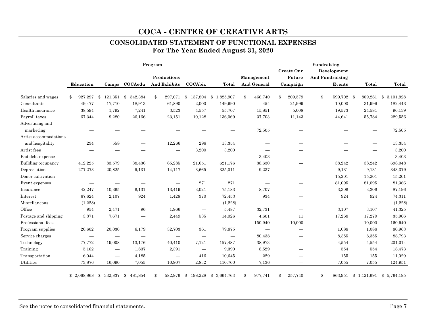# **CONSOLIDATED STATEMENT OF FUNCTIONAL EXPENSES**

**For The Year Ended August 31, 2020** 

|                       |                          |                                                                    |                                 | Program |                                 |                          |                                 |                          |                               | Fundraising            |                                   |           |
|-----------------------|--------------------------|--------------------------------------------------------------------|---------------------------------|---------|---------------------------------|--------------------------|---------------------------------|--------------------------|-------------------------------|------------------------|-----------------------------------|-----------|
|                       |                          |                                                                    |                                 |         |                                 |                          |                                 |                          | Create Our                    | Development            |                                   |           |
|                       |                          |                                                                    |                                 |         | Productions                     |                          |                                 | Management               | Future                        | <b>And Fundraising</b> |                                   |           |
|                       | Education                |                                                                    | Camps COCAedu                   |         | And Exhibits                    | COCAbiz                  | <b>Total</b>                    | <b>And General</b>       | Campaign                      | Events                 | Total                             | Total     |
| Salaries and wages    | $\mathbf{\$}$<br>927,297 | \$<br>$121,351$ \$                                                 | 342,384                         | \$      |                                 |                          | 297,071 \$ 137,804 \$ 1,825,907 | \$<br>466,740            | \$<br>209,579                 | \$<br>599,702 \$       | 809,281 \$                        | 3,101,928 |
| Consultants           | 49,477                   | 17,710                                                             | 18,913                          |         | 61,890                          | 2,000                    | 149,990                         | 454                      | 21,999                        | 10,000                 | 31,999                            | 182,443   |
| Health insurance      | 38,594                   | 1,792                                                              | 7,241                           |         | 3,523                           | 4,557                    | 55,707                          | 15,851                   | 5,008                         | 19,573                 | 24,581                            | 96,139    |
| Payroll taxes         | 67,344                   | 9,280                                                              | 26,166                          |         | 23,151                          | 10,128                   | 136,069                         | 37,703                   | 11,143                        | 44,641                 | 55,784                            | 229,556   |
| Advertising and       |                          |                                                                    |                                 |         |                                 |                          |                                 |                          |                               |                        |                                   |           |
| marketing             |                          |                                                                    |                                 |         |                                 |                          |                                 | 72,505                   |                               |                        |                                   | 72,505    |
| Artist accommodations |                          |                                                                    |                                 |         |                                 |                          |                                 |                          |                               |                        |                                   |           |
| and hospitality       | 234                      | 558                                                                |                                 |         | 12,266                          | 296                      | 13,354                          |                          |                               |                        |                                   | 13,354    |
| Artist fees           |                          |                                                                    |                                 |         | $\overbrace{\phantom{12333}}$   | 3,200                    | 3,200                           |                          |                               |                        |                                   | 3,200     |
| Bad debt expense      |                          | $\overline{\phantom{0}}$                                           |                                 |         | -                               |                          |                                 | 3,403                    |                               |                        | $\hspace{0.1mm}-\hspace{0.1mm}$   | 3,403     |
| Building occupancy    | 412,225                  | 83,579                                                             | 38,436                          |         | 65,285                          | 21,651                   | 621,176                         | 38,630                   |                               | 38,242                 | 38,242                            | 698,048   |
| Depreciation          | 277,273                  | 20,825                                                             | 9,131                           |         | 14,117                          | 3,665                    | 325,011                         | 9,237                    |                               | 9,131                  | 9,131                             | 343,379   |
| Donor cultivation     |                          | -                                                                  |                                 |         | -                               | $\overline{\phantom{0}}$ | $\overline{\phantom{0}}$        |                          |                               | 15,201                 | 15,201                            | 15,201    |
| Event expenses        |                          | $\overbrace{\phantom{aaaaa}}$                                      | $\overbrace{\phantom{1232211}}$ |         |                                 | 271                      | $271\,$                         | $\overline{\phantom{0}}$ |                               | 81,095                 | 81,095                            | 81,366    |
| Insurance             | 42,247                   | 10,365                                                             | 6,131                           |         | 13,419                          | 3,021                    | 75,183                          | 8,707                    |                               | 3,306                  | 3,306                             | 87,196    |
| Interest              | 67,624                   | 2,107                                                              | 924                             |         | 1,428                           | 370                      | 72,453                          | 934                      | $\overline{\phantom{m}}$      | 924                    | 924                               | 74,311    |
| Miscellaneous         | (1,228)                  | $\hspace{0.1mm}-\hspace{0.1mm}$                                    | $\overbrace{\phantom{12332}}$   |         | —                               | $\overline{\phantom{m}}$ | (1,228)                         |                          | $\overbrace{\phantom{12332}}$ |                        | $\hspace{0.1mm}-\hspace{0.1mm}$   | (1,228)   |
| Office                | 954                      | 2,471                                                              | 96                              |         | 1,966                           | $\overline{\phantom{m}}$ | 5,487                           | 32,731                   | $\overbrace{\phantom{12332}}$ | 3,107                  | 3,107                             | 41,325    |
| Postage and shipping  | 3,371                    | 7,671                                                              |                                 |         | 2,449                           | 535                      | 14,026                          | 4,601                    | 11                            | 17,268                 | 17,279                            | 35,906    |
| Professional fees     |                          | $\hspace{0.1mm}-\hspace{0.1mm}$<br>$\hspace{0.1mm}-\hspace{0.1mm}$ | $\overline{\phantom{m}}$        |         | $\qquad \qquad$                 | $\overline{\phantom{m}}$ | $\overbrace{\phantom{12333}}$   | 150,940                  | 10,000                        |                        | 10,000                            | 160,940   |
| Program supplies      | 20,602                   | 20,030                                                             | 6,179                           |         | 32,703                          | 361                      | 79,875                          | $\overline{\phantom{m}}$ |                               | 1,088                  | 1,088                             | 80,963    |
| Service charges       |                          | $\hspace{0.1mm}-\hspace{0.1mm}$<br>$\hspace{0.1mm}-\hspace{0.1mm}$ |                                 |         | $\hspace{0.1mm}-\hspace{0.1mm}$ | —                        | $\hspace{0.1mm}-\hspace{0.1mm}$ | 80,438                   |                               | 8,355                  | 8,355                             | 88,793    |
| Technology            | 77,772                   | 19,008                                                             | 13,176                          |         | 40,410                          | 7,121                    | 157,487                         | 38,973                   |                               | 4,554                  | 4,554                             | 201,014   |
| Training              | 5,162                    | $\hspace{0.1mm}-\hspace{0.1mm}$                                    | 1,837                           |         | 2,391                           | $\overline{\phantom{m}}$ | 9,390                           | 8,529                    |                               | 554                    | 554                               | 18,473    |
| Transportation        | 6,044                    | $\overline{\phantom{m}}$                                           | 4,185                           |         |                                 | 416                      | 10,645                          | 229                      |                               | 155                    | 155                               | 11,029    |
| Utilities             | 73,876                   | 16,090                                                             | 7,055                           |         | 10,907                          | 2,832                    | 110,760                         | 7,136                    |                               | 7,055                  | 7,055                             | 124,951   |
|                       | \$2,068,868              | $$332,837$ \$                                                      | 481,854                         | \$      |                                 | 582,976 \$ 198,228       | \$ 3,664,763                    | \$<br>977,741            | \$<br>257,740                 | \$                     | 863,951 \$ 1,121,691 \$ 5,764,195 |           |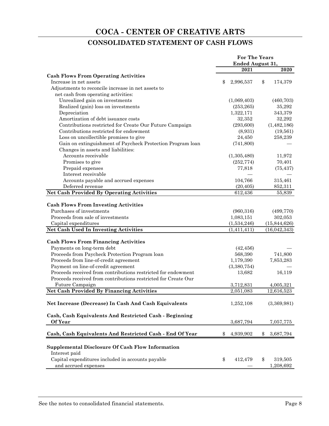## **CONSOLIDATED STATEMENT OF CASH FLOWS**

|                                                                | <b>For The Years</b> |                 |
|----------------------------------------------------------------|----------------------|-----------------|
|                                                                | Ended August 31,     |                 |
|                                                                | 2021                 | 2020            |
| <b>Cash Flows From Operating Activities</b>                    |                      |                 |
| Increase in net assets                                         | \$<br>2,996,537      | \$<br>174,379   |
| Adjustments to reconcile increase in net assets to             |                      |                 |
| net cash from operating activities:                            |                      |                 |
| Unrealized gain on investments                                 | (1,069,403)          | (460, 703)      |
| Realized (gain) loss on investments                            | (253, 265)           | 35,292          |
| Depreciation                                                   | 1,322,171            | 343,379         |
| Amortization of debt issuance costs                            | 32,352               | 32,292          |
| Contributions restricted for Create Our Future Campaign        | (293, 600)           | (1,482,186)     |
| Contributions restricted for endowment                         | (8,931)              | (19, 561)       |
| Loss on uncollectible promises to give                         | 24,450               | 258,239         |
| Gain on extinguishment of Paycheck Protection Program loan     | (741,800)            |                 |
| Changes in assets and liabilities:                             |                      |                 |
| Accounts receivable                                            | (1,305,480)          | 11,972          |
| Promises to give                                               | (252, 774)           | 70,401          |
| Prepaid expenses                                               | 77,818               | (75, 437)       |
| Interest receivable                                            |                      |                 |
| Accounts payable and accrued expenses                          | 104,766              |                 |
| Deferred revenue                                               |                      | 315,461         |
|                                                                | (20, 405)<br>612,436 | 852,311         |
| Net Cash Provided By Operating Activities                      |                      | 55,839          |
| <b>Cash Flows From Investing Activities</b>                    |                      |                 |
| Purchases of investments                                       | (960, 316)           | (499, 770)      |
| Proceeds from sale of investments                              |                      |                 |
|                                                                | 1,083,151            | 302,053         |
| Capital expenditures                                           | (1,534,246)          | (15, 844, 626)  |
| Net Cash Used In Investing Activities                          | (1,411,411)          | (16,042,343)    |
| <b>Cash Flows From Financing Activities</b>                    |                      |                 |
| Payments on long-term debt                                     | (42, 456)            |                 |
| Proceeds from Paycheck Protection Program loan                 |                      | 741,800         |
| Proceeds from line-of-credit agreement                         | 568,390              |                 |
|                                                                | 1,179,390            | 7,853,283       |
| Payment on line-of-credit agreement                            | (3,380,754)          |                 |
| Proceeds received from contributions restricted for endowment  | 13,682               | 16,119          |
| Proceeds received from contributions restricted for Create Our |                      |                 |
| Future Campaign                                                | 3,712,831            | 4,005,321       |
| <b>Net Cash Provided By Financing Activities</b>               | 2,051,083            | 12,616,523      |
|                                                                |                      |                 |
| Net Increase (Decrease) In Cash And Cash Equivalents           | 1,252,108            | (3,369,981)     |
|                                                                |                      |                 |
| Cash, Cash Equivalents And Restricted Cash - Beginning         |                      |                 |
| <b>Of Year</b>                                                 | 3,687,794            | 7,057,775       |
| Cash, Cash Equivalents And Restricted Cash - End Of Year       | \$<br>4,939,902      | \$<br>3,687,794 |
|                                                                |                      |                 |
| <b>Supplemental Disclosure Of Cash Flow Information</b>        |                      |                 |
| Interest paid                                                  |                      |                 |
| Capital expenditures included in accounts payable              | \$<br>412,479        | \$<br>319,505   |
| and accrued expenses                                           |                      | 1,208,692       |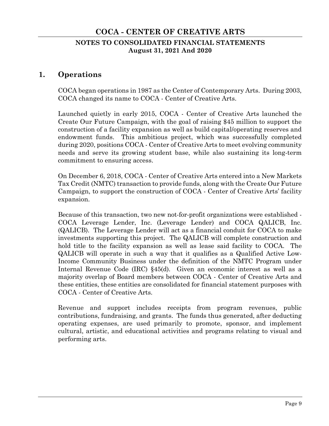## **NOTES TO CONSOLIDATED FINANCIAL STATEMENTS August 31, 2021 And 2020**

## **1. Operations**

COCA began operations in 1987 as the Center of Contemporary Arts. During 2003, COCA changed its name to COCA - Center of Creative Arts.

Launched quietly in early 2015, COCA - Center of Creative Arts launched the Create Our Future Campaign, with the goal of raising \$45 million to support the construction of a facility expansion as well as build capital/operating reserves and endowment funds. This ambitious project, which was successfully completed during 2020, positions COCA - Center of Creative Arts to meet evolving community needs and serve its growing student base, while also sustaining its long-term commitment to ensuring access.

On December 6, 2018, COCA - Center of Creative Arts entered into a New Markets Tax Credit (NMTC) transaction to provide funds, along with the Create Our Future Campaign, to support the construction of COCA - Center of Creative Arts' facility expansion.

Because of this transaction, two new not-for-profit organizations were established - COCA Leverage Lender, Inc. (Leverage Lender) and COCA QALICB, Inc. (QALICB). The Leverage Lender will act as a financial conduit for COCA to make investments supporting this project. The QALICB will complete construction and hold title to the facility expansion as well as lease said facility to COCA. The QALICB will operate in such a way that it qualifies as a Qualified Active Low-Income Community Business under the definition of the NMTC Program under Internal Revenue Code (IRC) §45(d). Given an economic interest as well as a majority overlap of Board members between COCA - Center of Creative Arts and these entities, these entities are consolidated for financial statement purposes with COCA - Center of Creative Arts.

Revenue and support includes receipts from program revenues, public contributions, fundraising, and grants. The funds thus generated, after deducting operating expenses, are used primarily to promote, sponsor, and implement cultural, artistic, and educational activities and programs relating to visual and performing arts.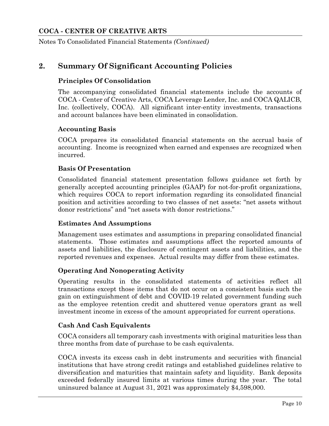Notes To Consolidated Financial Statements *(Continued)*

## **2. Summary Of Significant Accounting Policies**

## **Principles Of Consolidation**

The accompanying consolidated financial statements include the accounts of COCA - Center of Creative Arts, COCA Leverage Lender, Inc. and COCA QALICB, Inc. (collectively, COCA). All significant inter-entity investments, transactions and account balances have been eliminated in consolidation.

#### **Accounting Basis**

COCA prepares its consolidated financial statements on the accrual basis of accounting. Income is recognized when earned and expenses are recognized when incurred.

#### **Basis Of Presentation**

Consolidated financial statement presentation follows guidance set forth by generally accepted accounting principles (GAAP) for not-for-profit organizations, which requires COCA to report information regarding its consolidated financial position and activities according to two classes of net assets: "net assets without donor restrictions" and "net assets with donor restrictions."

#### **Estimates And Assumptions**

Management uses estimates and assumptions in preparing consolidated financial statements. Those estimates and assumptions affect the reported amounts of assets and liabilities, the disclosure of contingent assets and liabilities, and the reported revenues and expenses. Actual results may differ from these estimates.

#### **Operating And Nonoperating Activity**

Operating results in the consolidated statements of activities reflect all transactions except those items that do not occur on a consistent basis such the gain on extinguishment of debt and COVID-19 related government funding such as the employee retention credit and shuttered venue operators grant as well investment income in excess of the amount appropriated for current operations.

#### **Cash And Cash Equivalents**

COCA considers all temporary cash investments with original maturities less than three months from date of purchase to be cash equivalents.

COCA invests its excess cash in debt instruments and securities with financial institutions that have strong credit ratings and established guidelines relative to diversification and maturities that maintain safety and liquidity. Bank deposits exceeded federally insured limits at various times during the year. The total uninsured balance at August 31, 2021 was approximately \$4,598,000.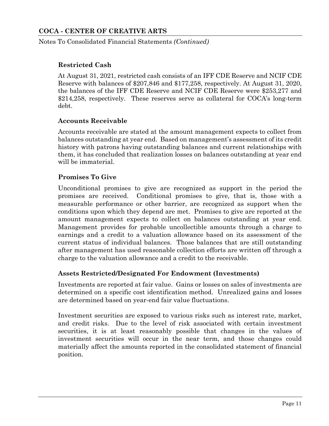Notes To Consolidated Financial Statements *(Continued)*

## **Restricted Cash**

At August 31, 2021, restricted cash consists of an IFF CDE Reserve and NCIF CDE Reserve with balances of \$207,846 and \$177,258, respectively. At August 31, 2020, the balances of the IFF CDE Reserve and NCIF CDE Reserve were \$253,277 and \$214,258, respectively. These reserves serve as collateral for COCA's long-term debt.

### **Accounts Receivable**

Accounts receivable are stated at the amount management expects to collect from balances outstanding at year end. Based on management's assessment of its credit history with patrons having outstanding balances and current relationships with them, it has concluded that realization losses on balances outstanding at year end will be immaterial.

### **Promises To Give**

Unconditional promises to give are recognized as support in the period the promises are received. Conditional promises to give, that is, those with a measurable performance or other barrier, are recognized as support when the conditions upon which they depend are met. Promises to give are reported at the amount management expects to collect on balances outstanding at year end. Management provides for probable uncollectible amounts through a charge to earnings and a credit to a valuation allowance based on its assessment of the current status of individual balances. Those balances that are still outstanding after management has used reasonable collection efforts are written off through a charge to the valuation allowance and a credit to the receivable.

#### **Assets Restricted/Designated For Endowment (Investments)**

Investments are reported at fair value. Gains or losses on sales of investments are determined on a specific cost identification method. Unrealized gains and losses are determined based on year-end fair value fluctuations.

Investment securities are exposed to various risks such as interest rate, market, and credit risks. Due to the level of risk associated with certain investment securities, it is at least reasonably possible that changes in the values of investment securities will occur in the near term, and those changes could materially affect the amounts reported in the consolidated statement of financial position.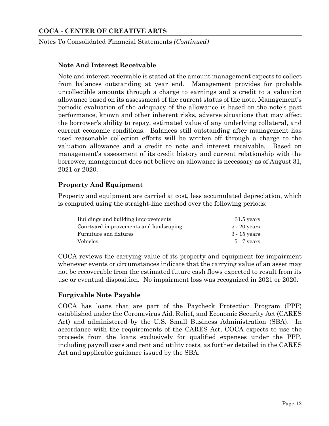Notes To Consolidated Financial Statements *(Continued)*

#### **Note And Interest Receivable**

Note and interest receivable is stated at the amount management expects to collect from balances outstanding at year end. Management provides for probable uncollectible amounts through a charge to earnings and a credit to a valuation allowance based on its assessment of the current status of the note. Management's periodic evaluation of the adequacy of the allowance is based on the note's past performance, known and other inherent risks, adverse situations that may affect the borrower's ability to repay, estimated value of any underlying collateral, and current economic conditions. Balances still outstanding after management has used reasonable collection efforts will be written off through a charge to the valuation allowance and a credit to note and interest receivable. Based on management's assessment of its credit history and current relationship with the borrower, management does not believe an allowance is necessary as of August 31, 2021 or 2020.

### **Property And Equipment**

Property and equipment are carried at cost, less accumulated depreciation, which is computed using the straight-line method over the following periods:

| Buildings and building improvements    | $31.5$ years    |
|----------------------------------------|-----------------|
| Courtyard improvements and landscaping | $15 - 20$ years |
| Furniture and fixtures                 | $3 - 15$ vears  |
| <b>Vehicles</b>                        | $5 - 7$ years   |

COCA reviews the carrying value of its property and equipment for impairment whenever events or circumstances indicate that the carrying value of an asset may not be recoverable from the estimated future cash flows expected to result from its use or eventual disposition. No impairment loss was recognized in 2021 or 2020.

## **Forgivable Note Payable**

COCA has loans that are part of the Paycheck Protection Program (PPP) established under the Coronavirus Aid, Relief, and Economic Security Act (CARES Act) and administered by the U.S. Small Business Administration (SBA). In accordance with the requirements of the CARES Act, COCA expects to use the proceeds from the loans exclusively for qualified expenses under the PPP, including payroll costs and rent and utility costs, as further detailed in the CARES Act and applicable guidance issued by the SBA.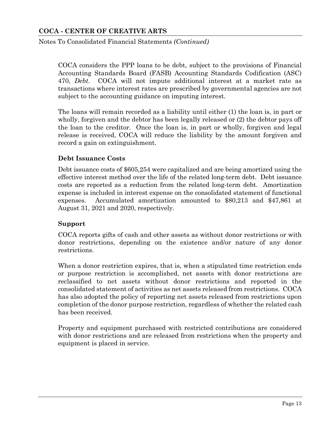Notes To Consolidated Financial Statements *(Continued)*

COCA considers the PPP loans to be debt, subject to the provisions of Financial Accounting Standards Board (FASB) Accounting Standards Codification (ASC) 470, *Debt*. COCA will not impute additional interest at a market rate as transactions where interest rates are prescribed by governmental agencies are not subject to the accounting guidance on imputing interest.

The loans will remain recorded as a liability until either (1) the loan is, in part or wholly, forgiven and the debtor has been legally released or (2) the debtor pays off the loan to the creditor. Once the loan is, in part or wholly, forgiven and legal release is received, COCA will reduce the liability by the amount forgiven and record a gain on extinguishment.

## **Debt Issuance Costs**

Debt issuance costs of \$605,254 were capitalized and are being amortized using the effective interest method over the life of the related long-term debt. Debt issuance costs are reported as a reduction from the related long-term debt. Amortization expense is included in interest expense on the consolidated statement of functional expenses. Accumulated amortization amounted to \$80,213 and \$47,861 at August 31, 2021 and 2020, respectively.

## **Support**

COCA reports gifts of cash and other assets as without donor restrictions or with donor restrictions, depending on the existence and/or nature of any donor restrictions.

When a donor restriction expires, that is, when a stipulated time restriction ends or purpose restriction is accomplished, net assets with donor restrictions are reclassified to net assets without donor restrictions and reported in the consolidated statement of activities as net assets released from restrictions. COCA has also adopted the policy of reporting net assets released from restrictions upon completion of the donor purpose restriction, regardless of whether the related cash has been received.

Property and equipment purchased with restricted contributions are considered with donor restrictions and are released from restrictions when the property and equipment is placed in service.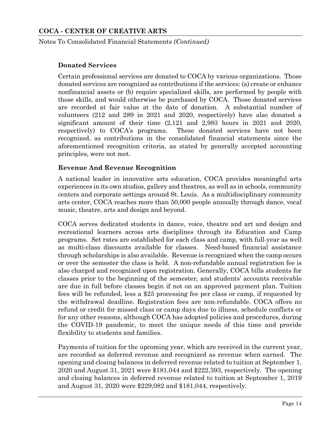Notes To Consolidated Financial Statements *(Continued)*

### **Donated Services**

Certain professional services are donated to COCA by various organizations. Those donated services are recognized as contributions if the services: (a) create or enhance nonfinancial assets or (b) require specialized skills, are performed by people with those skills, and would otherwise be purchased by COCA. Those donated services are recorded at fair value at the date of donation. A substantial number of volunteers (212 and 289 in 2021 and 2020, respectively) have also donated a significant amount of their time (2,121 and 2,983 hours in 2021 and 2020, respectively) to COCA's programs. These donated services have not been recognized, as contributions in the consolidated financial statements since the aforementioned recognition criteria, as stated by generally accepted accounting principles, were not met.

### **Revenue And Revenue Recognition**

A national leader in innovative arts education, COCA provides meaningful arts experiences in its own studios, gallery and theatres, as well as in schools, community centers and corporate settings around St. Louis. As a multidisciplinary community arts center, COCA reaches more than 50,000 people annually through dance, vocal music, theatre, arts and design and beyond.

COCA serves dedicated students in dance, voice, theatre and art and design and recreational learners across arts disciplines through its Education and Camp programs. Set rates are established for each class and camp, with full-year as well as multi-class discounts available for classes. Need-based financial assistance through scholarships is also available. Revenue is recognized when the camp occurs or over the semester the class is held. A non-refundable annual registration fee is also charged and recognized upon registration. Generally, COCA bills students for classes prior to the beginning of the semester, and students' accounts receivable are due in full before classes begin if not on an approved payment plan. Tuition fees will be refunded, less a \$25 processing fee per class or camp, if requested by the withdrawal deadline. Registration fees are non-refundable. COCA offers no refund or credit for missed class or camp days due to illness, schedule conflicts or for any other reasons, although COCA has adopted policies and procedures, during the COVID-19 pandemic, to meet the unique needs of this time and provide flexibility to students and families.

Payments of tuition for the upcoming year, which are received in the current year, are recorded as deferred revenue and recognized as revenue when earned. The opening and closing balances in deferred revenue related to tuition at September 1, 2020 and August 31, 2021 were \$181,044 and \$222,393, respectively. The opening and closing balances in deferred revenue related to tuition at September 1, 2019 and August 31, 2020 were \$229,082 and \$181,044, respectively.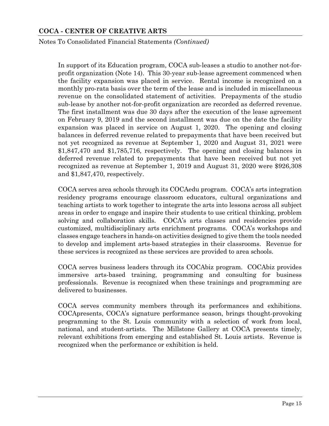Notes To Consolidated Financial Statements *(Continued)*

In support of its Education program, COCA sub-leases a studio to another not-forprofit organization (Note 14). This 30-year sub-lease agreement commenced when the facility expansion was placed in service. Rental income is recognized on a monthly pro-rata basis over the term of the lease and is included in miscellaneous revenue on the consolidated statement of activities. Prepayments of the studio sub-lease by another not-for-profit organization are recorded as deferred revenue. The first installment was due 30 days after the execution of the lease agreement on February 9, 2019 and the second installment was due on the date the facility expansion was placed in service on August 1, 2020. The opening and closing balances in deferred revenue related to prepayments that have been received but not yet recognized as revenue at September 1, 2020 and August 31, 2021 were \$1,847,470 and \$1,785,716, respectively. The opening and closing balances in deferred revenue related to prepayments that have been received but not yet recognized as revenue at September 1, 2019 and August 31, 2020 were \$926,308 and \$1,847,470, respectively.

COCA serves area schools through its COCAedu program. COCA's arts integration residency programs encourage classroom educators, cultural organizations and teaching artists to work together to integrate the arts into lessons across all subject areas in order to engage and inspire their students to use critical thinking, problem solving and collaboration skills. COCA's arts classes and residencies provide customized, multidisciplinary arts enrichment programs. COCA's workshops and classes engage teachers in hands-on activities designed to give them the tools needed to develop and implement arts-based strategies in their classrooms. Revenue for these services is recognized as these services are provided to area schools.

COCA serves business leaders through its COCAbiz program. COCAbiz provides immersive arts-based training, programming and consulting for business professionals. Revenue is recognized when these trainings and programming are delivered to businesses.

COCA serves community members through its performances and exhibitions. COCApresents, COCA's signature performance season, brings thought-provoking programming to the St. Louis community with a selection of work from local, national, and student-artists. The Millstone Gallery at COCA presents timely, relevant exhibitions from emerging and established St. Louis artists. Revenue is recognized when the performance or exhibition is held.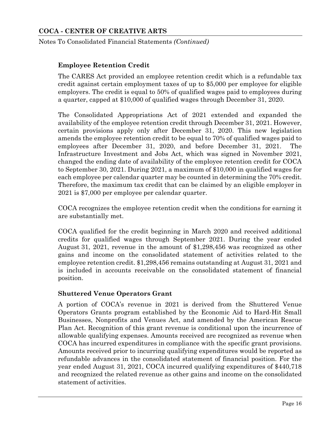Notes To Consolidated Financial Statements *(Continued)*

### **Employee Retention Credit**

The CARES Act provided an employee retention credit which is a refundable tax credit against certain employment taxes of up to \$5,000 per employee for eligible employers. The credit is equal to 50% of qualified wages paid to employees during a quarter, capped at \$10,000 of qualified wages through December 31, 2020.

The Consolidated Appropriations Act of 2021 extended and expanded the availability of the employee retention credit through December 31, 2021. However, certain provisions apply only after December 31, 2020. This new legislation amends the employee retention credit to be equal to 70% of qualified wages paid to employees after December 31, 2020, and before December 31, 2021. The Infrastructure Investment and Jobs Act, which was signed in November 2021, changed the ending date of availability of the employee retention credit for COCA to September 30, 2021. During 2021, a maximum of \$10,000 in qualified wages for each employee per calendar quarter may be counted in determining the 70% credit. Therefore, the maximum tax credit that can be claimed by an eligible employer in 2021 is \$7,000 per employee per calendar quarter.

COCA recognizes the employee retention credit when the conditions for earning it are substantially met.

COCA qualified for the credit beginning in March 2020 and received additional credits for qualified wages through September 2021. During the year ended August 31, 2021, revenue in the amount of \$1,298,456 was recognized as other gains and income on the consolidated statement of activities related to the employee retention credit. \$1,298,456 remains outstanding at August 31, 2021 and is included in accounts receivable on the consolidated statement of financial position.

#### **Shuttered Venue Operators Grant**

A portion of COCA's revenue in 2021 is derived from the Shuttered Venue Operators Grants program established by the Economic Aid to Hard-Hit Small Businesses, Nonprofits and Venues Act, and amended by the American Rescue Plan Act. Recognition of this grant revenue is conditional upon the incurrence of allowable qualifying expenses. Amounts received are recognized as revenue when COCA has incurred expenditures in compliance with the specific grant provisions. Amounts received prior to incurring qualifying expenditures would be reported as refundable advances in the consolidated statement of financial position. For the year ended August 31, 2021, COCA incurred qualifying expenditures of \$440,718 and recognized the related revenue as other gains and income on the consolidated statement of activities.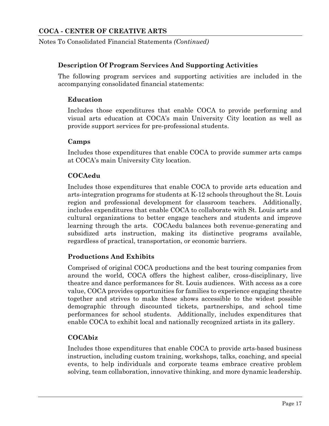Notes To Consolidated Financial Statements *(Continued)*

### **Description Of Program Services And Supporting Activities**

The following program services and supporting activities are included in the accompanying consolidated financial statements:

#### **Education**

Includes those expenditures that enable COCA to provide performing and visual arts education at COCA's main University City location as well as provide support services for pre-professional students.

#### **Camps**

Includes those expenditures that enable COCA to provide summer arts camps at COCA's main University City location.

### **COCAedu**

Includes those expenditures that enable COCA to provide arts education and arts-integration programs for students at K-12 schools throughout the St. Louis region and professional development for classroom teachers. Additionally, includes expenditures that enable COCA to collaborate with St. Louis arts and cultural organizations to better engage teachers and students and improve learning through the arts. COCAedu balances both revenue-generating and subsidized arts instruction, making its distinctive programs available, regardless of practical, transportation, or economic barriers.

## **Productions And Exhibits**

Comprised of original COCA productions and the best touring companies from around the world, COCA offers the highest caliber, cross-disciplinary, live theatre and dance performances for St. Louis audiences. With access as a core value, COCA provides opportunities for families to experience engaging theatre together and strives to make these shows accessible to the widest possible demographic through discounted tickets, partnerships, and school time performances for school students. Additionally, includes expenditures that enable COCA to exhibit local and nationally recognized artists in its gallery.

## **COCAbiz**

Includes those expenditures that enable COCA to provide arts-based business instruction, including custom training, workshops, talks, coaching, and special events, to help individuals and corporate teams embrace creative problem solving, team collaboration, innovative thinking, and more dynamic leadership.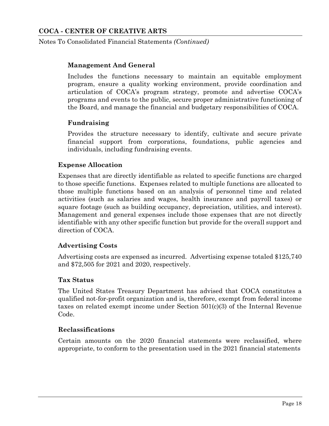Notes To Consolidated Financial Statements *(Continued)*

### **Management And General**

Includes the functions necessary to maintain an equitable employment program, ensure a quality working environment, provide coordination and articulation of COCA's program strategy, promote and advertise COCA's programs and events to the public, secure proper administrative functioning of the Board, and manage the financial and budgetary responsibilities of COCA.

### **Fundraising**

Provides the structure necessary to identify, cultivate and secure private financial support from corporations, foundations, public agencies and individuals, including fundraising events.

### **Expense Allocation**

Expenses that are directly identifiable as related to specific functions are charged to those specific functions. Expenses related to multiple functions are allocated to those multiple functions based on an analysis of personnel time and related activities (such as salaries and wages, health insurance and payroll taxes) or square footage (such as building occupancy, depreciation, utilities, and interest). Management and general expenses include those expenses that are not directly identifiable with any other specific function but provide for the overall support and direction of COCA.

#### **Advertising Costs**

Advertising costs are expensed as incurred. Advertising expense totaled \$125,740 and \$72,505 for 2021 and 2020, respectively.

#### **Tax Status**

The United States Treasury Department has advised that COCA constitutes a qualified not-for-profit organization and is, therefore, exempt from federal income taxes on related exempt income under Section 501(c)(3) of the Internal Revenue Code.

#### **Reclassifications**

Certain amounts on the 2020 financial statements were reclassified, where appropriate, to conform to the presentation used in the 2021 financial statements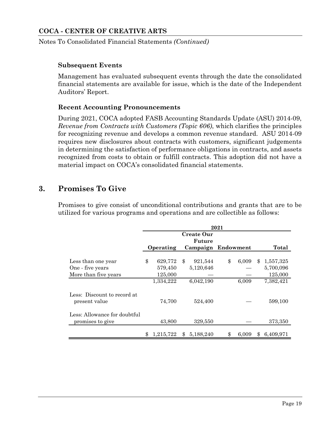Notes To Consolidated Financial Statements *(Continued)*

#### **Subsequent Events**

Management has evaluated subsequent events through the date the consolidated financial statements are available for issue, which is the date of the Independent Auditors' Report.

### **Recent Accounting Pronouncements**

During 2021, COCA adopted FASB Accounting Standards Update (ASU) 2014-09, *Revenue from Contracts with Customers (Topic 606)*, which clarifies the principles for recognizing revenue and develops a common revenue standard. ASU 2014-09 requires new disclosures about contracts with customers, significant judgements in determining the satisfaction of performance obligations in contracts, and assets recognized from costs to obtain or fulfill contracts. This adoption did not have a material impact on COCA's consolidated financial statements.

## **3. Promises To Give**

Promises to give consist of unconditional contributions and grants that are to be utilized for various programs and operations and are collectible as follows:

|                                                  | 2021 |                      |    |                                            |    |       |              |                        |  |  |  |
|--------------------------------------------------|------|----------------------|----|--------------------------------------------|----|-------|--------------|------------------------|--|--|--|
|                                                  |      | Operating            |    | Create Our<br>Future<br>Campaign Endowment |    |       |              | Total                  |  |  |  |
| Less than one year<br>One - five years           | \$   | 629,772<br>579,450   | \$ | 921,544<br>5,120,646                       | \$ | 6,009 | $\mathbf{F}$ | 1,557,325<br>5,700,096 |  |  |  |
| More than five years                             |      | 125,000<br>1,334,222 |    | 6,042,190                                  |    | 6,009 |              | 125,000<br>7,382,421   |  |  |  |
| Less: Discount to record at<br>present value     |      | 74,700               |    | 524,400                                    |    |       |              | 599,100                |  |  |  |
| Less: Allowance for doubtful<br>promises to give |      | 43,800               |    | 329,550                                    |    |       |              | 373,350                |  |  |  |
|                                                  | \$   | 1,215,722            | \$ | 5.188.240                                  | \$ | 6.009 | \$           | 6,409,971              |  |  |  |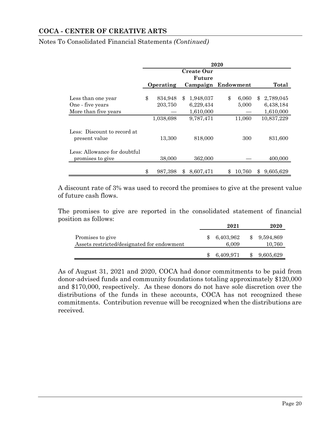|                                                  | 2020 |           |     |                    |    |        |     |            |  |  |  |
|--------------------------------------------------|------|-----------|-----|--------------------|----|--------|-----|------------|--|--|--|
|                                                  |      |           |     |                    |    |        |     |            |  |  |  |
|                                                  |      | Operating |     | Campaign Endowment |    |        |     | Total      |  |  |  |
| Less than one year                               | \$   | 834,948   | \$. | 1,948,037          | \$ | 6,060  | \$. | 2,789,045  |  |  |  |
| One - five years                                 |      | 203,750   |     | 6,229,434          |    | 5,000  |     | 6,438,184  |  |  |  |
| More than five years                             |      |           |     | 1,610,000          |    |        |     | 1,610,000  |  |  |  |
|                                                  |      | 1,038,698 |     | 9,787,471          |    | 11,060 |     | 10,837,229 |  |  |  |
| Less: Discount to record at<br>present value     |      | 13,300    |     | 818,000            |    | 300    |     | 831,600    |  |  |  |
| Less: Allowance for doubtful<br>promises to give |      | 38,000    |     | 362,000            |    |        |     | 400,000    |  |  |  |
|                                                  | \$   | 987,398   | \$  | 8,607,471          |    | 10,760 | \$  | 9,605,629  |  |  |  |

Notes To Consolidated Financial Statements *(Continued)*

A discount rate of 3% was used to record the promises to give at the present value of future cash flows.

The promises to give are reported in the consolidated statement of financial position as follows:

|                                                                | 2021               | 2020                |
|----------------------------------------------------------------|--------------------|---------------------|
| Promises to give<br>Assets restricted/designated for endowment | 6,403,962<br>6.009 | 9,594,869<br>10,760 |
|                                                                | 6,409,971          | 9,605,629           |

As of August 31, 2021 and 2020, COCA had donor commitments to be paid from donor-advised funds and community foundations totaling approximately \$120,000 and \$170,000, respectively. As these donors do not have sole discretion over the distributions of the funds in these accounts, COCA has not recognized these commitments. Contribution revenue will be recognized when the distributions are received.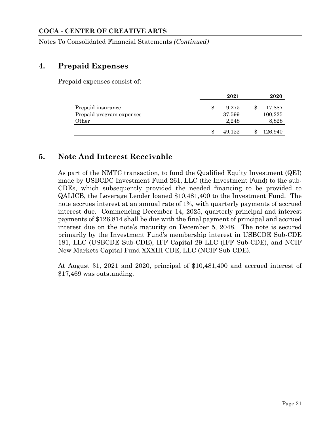Notes To Consolidated Financial Statements *(Continued)*

## **4. Prepaid Expenses**

Prepaid expenses consist of:

|                                                        |    | 2021                     | 2020                             |
|--------------------------------------------------------|----|--------------------------|----------------------------------|
| Prepaid insurance<br>Prepaid program expenses<br>Other | S  | 9.275<br>37,599<br>2.248 | \$<br>17,887<br>100,225<br>8,828 |
|                                                        | Ж, | 49.122                   | \$<br>126,940                    |

## **5. Note And Interest Receivable**

As part of the NMTC transaction, to fund the Qualified Equity Investment (QEI) made by USBCDC Investment Fund 261, LLC (the Investment Fund) to the sub-CDEs, which subsequently provided the needed financing to be provided to QALICB, the Leverage Lender loaned \$10,481,400 to the Investment Fund. The note accrues interest at an annual rate of 1%, with quarterly payments of accrued interest due. Commencing December 14, 2025, quarterly principal and interest payments of \$126,814 shall be due with the final payment of principal and accrued interest due on the note's maturity on December 5, 2048. The note is secured primarily by the Investment Fund's membership interest in USBCDE Sub-CDE 181, LLC (USBCDE Sub-CDE), IFF Capital 29 LLC (IFF Sub-CDE), and NCIF New Markets Capital Fund XXXIII CDE, LLC (NCIF Sub-CDE).

At August 31, 2021 and 2020, principal of \$10,481,400 and accrued interest of \$17,469 was outstanding.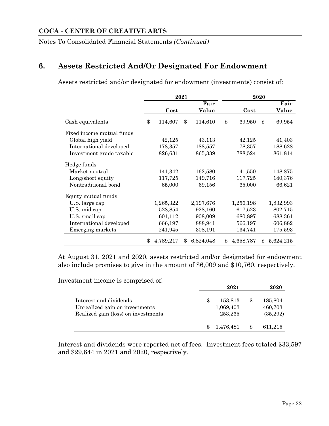Notes To Consolidated Financial Statements *(Continued)*

## **6. Assets Restricted And/Or Designated For Endowment**

Assets restricted and/or designated for endowment (investments) consist of:

|                           |                 | 2021 |           |    |           |    |           |
|---------------------------|-----------------|------|-----------|----|-----------|----|-----------|
|                           |                 |      | Fair      |    |           |    | Fair      |
|                           | Cost            |      | Value     |    | Cost      |    | Value     |
| Cash equivalents          | \$<br>114,607   | \$   | 114,610   | \$ | 69,950    | \$ | 69,954    |
| Fixed income mutual funds |                 |      |           |    |           |    |           |
| Global high yield         | 42,125          |      | 43,113    |    | 42,125    |    | 41,403    |
| International developed   | 178,357         |      | 188,557   |    | 178,357   |    | 188,628   |
| Investment grade taxable  | 826,631         |      | 865,339   |    | 788,524   |    | 861,814   |
| Hedge funds               |                 |      |           |    |           |    |           |
| Market neutral            | 141,342         |      | 162,580   |    | 141,550   |    | 148,875   |
| Long/short equity         | 117,725         |      | 149,716   |    | 117,725   |    | 140,376   |
| Nontraditional bond       | 65,000          |      | 69,156    |    | 65,000    |    | 66,621    |
| Equity mutual funds       |                 |      |           |    |           |    |           |
| U.S. large cap            | 1,265,322       |      | 2,197,676 |    | 1,256,198 |    | 1,832,993 |
| U.S. mid cap              | 528,854         |      | 928,160   |    | 617,523   |    | 802,715   |
| U.S. small cap            | 601,112         |      | 908,009   |    | 680,897   |    | 688,361   |
| International developed   | 666,197         |      | 888,941   |    | 566,197   |    | 606,882   |
| Emerging markets          | 241,945         |      | 308,191   |    | 134,741   |    | 175,593   |
|                           | \$<br>4,789,217 | \$   | 6,824,048 | \$ | 4,658,787 | \$ | 5,624,215 |

At August 31, 2021 and 2020, assets restricted and/or designated for endowment also include promises to give in the amount of \$6,009 and \$10,760, respectively.

Investment income is comprised of:

|                                                                                                 |  | 2021                            |   | 2020                           |
|-------------------------------------------------------------------------------------------------|--|---------------------------------|---|--------------------------------|
| Interest and dividends<br>Unrealized gain on investments<br>Realized gain (loss) on investments |  | 153,813<br>1,069,403<br>253,265 |   | 185,804<br>460,703<br>(35,292) |
|                                                                                                 |  | 1,476,481                       | Ж | 611,215                        |

Interest and dividends were reported net of fees. Investment fees totaled \$33,597 and \$29,644 in 2021 and 2020, respectively.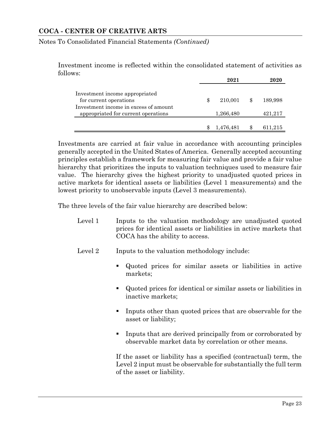Notes To Consolidated Financial Statements *(Continued)*

Investment income is reflected within the consolidated statement of activities as follows:

|                                                                              | 2021          | 2020    |  |  |
|------------------------------------------------------------------------------|---------------|---------|--|--|
| Investment income appropriated<br>for current operations                     | \$<br>210,001 | 189,998 |  |  |
| Investment income in excess of amount<br>appropriated for current operations | 1,266,480     | 421,217 |  |  |
|                                                                              | 1,476,481     | 611,215 |  |  |

Investments are carried at fair value in accordance with accounting principles generally accepted in the United States of America. Generally accepted accounting principles establish a framework for measuring fair value and provide a fair value hierarchy that prioritizes the inputs to valuation techniques used to measure fair value. The hierarchy gives the highest priority to unadjusted quoted prices in active markets for identical assets or liabilities (Level 1 measurements) and the lowest priority to unobservable inputs (Level 3 measurements).

The three levels of the fair value hierarchy are described below:

- Level 1 Inputs to the valuation methodology are unadjusted quoted prices for identical assets or liabilities in active markets that COCA has the ability to access.
- Level 2 Inputs to the valuation methodology include:
	- Quoted prices for similar assets or liabilities in active markets;
	- Quoted prices for identical or similar assets or liabilities in inactive markets;
	- Inputs other than quoted prices that are observable for the asset or liability;
	- Inputs that are derived principally from or corroborated by observable market data by correlation or other means.

If the asset or liability has a specified (contractual) term, the Level 2 input must be observable for substantially the full term of the asset or liability.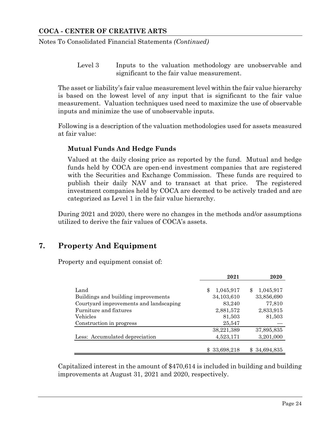Notes To Consolidated Financial Statements *(Continued)*

Level 3 Inputs to the valuation methodology are unobservable and significant to the fair value measurement.

The asset or liability's fair value measurement level within the fair value hierarchy is based on the lowest level of any input that is significant to the fair value measurement. Valuation techniques used need to maximize the use of observable inputs and minimize the use of unobservable inputs.

Following is a description of the valuation methodologies used for assets measured at fair value:

### **Mutual Funds And Hedge Funds**

Valued at the daily closing price as reported by the fund. Mutual and hedge funds held by COCA are open-end investment companies that are registered with the Securities and Exchange Commission. These funds are required to publish their daily NAV and to transact at that price. The registered investment companies held by COCA are deemed to be actively traded and are categorized as Level 1 in the fair value hierarchy.

During 2021 and 2020, there were no changes in the methods and/or assumptions utilized to derive the fair values of COCA's assets.

## **7. Property And Equipment**

Property and equipment consist of:

|                                        | 2021            | 2020            |
|----------------------------------------|-----------------|-----------------|
| Land                                   | 1,045,917<br>\$ | 1,045,917<br>\$ |
| Buildings and building improvements    | 34,103,610      | 33,856,690      |
| Courtyard improvements and landscaping | 83,240          | 77,810          |
| Furniture and fixtures                 | 2,881,572       | 2,833,915       |
| Vehicles                               | 81,503          | 81,503          |
| Construction in progress               | 25,547          |                 |
|                                        | 38,221,389      | 37,895,835      |
| Less: Accumulated depreciation         | 4,523,171       | 3,201,000       |
|                                        |                 |                 |
|                                        | \$33,698,218    | 34,694,835      |

Capitalized interest in the amount of \$470,614 is included in building and building improvements at August 31, 2021 and 2020, respectively.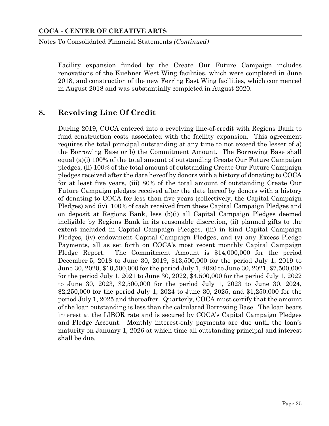Notes To Consolidated Financial Statements *(Continued)*

Facility expansion funded by the Create Our Future Campaign includes renovations of the Kuehner West Wing facilities, which were completed in June 2018, and construction of the new Ferring East Wing facilities, which commenced in August 2018 and was substantially completed in August 2020.

## **8. Revolving Line Of Credit**

During 2019, COCA entered into a revolving line-of-credit with Regions Bank to fund construction costs associated with the facility expansion. This agreement requires the total principal outstanding at any time to not exceed the lesser of a) the Borrowing Base or b) the Commitment Amount. The Borrowing Base shall equal (a)(i) 100% of the total amount of outstanding Create Our Future Campaign pledges, (ii) 100% of the total amount of outstanding Create Our Future Campaign pledges received after the date hereof by donors with a history of donating to COCA for at least five years, (iii) 80% of the total amount of outstanding Create Our Future Campaign pledges received after the date hereof by donors with a history of donating to COCA for less than five years (collectively, the Capital Campaign Pledges) and (iv) 100% of cash received from these Capital Campaign Pledges and on deposit at Regions Bank, less (b)(i) all Capital Campaign Pledges deemed ineligible by Regions Bank in its reasonable discretion, (ii) planned gifts to the extent included in Capital Campaign Pledges, (iii) in kind Capital Campaign Pledges, (iv) endowment Capital Campaign Pledges, and (v) any Excess Pledge Payments, all as set forth on COCA's most recent monthly Capital Campaign Pledge Report. The Commitment Amount is \$14,000,000 for the period December 5, 2018 to June 30, 2019, \$13,500,000 for the period July 1, 2019 to June 30, 2020, \$10,500,000 for the period July 1, 2020 to June 30, 2021, \$7,500,000 for the period July 1, 2021 to June 30, 2022, \$4,500,000 for the period July 1, 2022 to June 30, 2023, \$2,500,000 for the period July 1, 2023 to June 30, 2024, \$2,250,000 for the period July 1, 2024 to June 30, 2025, and \$1,250,000 for the period July 1, 2025 and thereafter. Quarterly, COCA must certify that the amount of the loan outstanding is less than the calculated Borrowing Base. The loan bears interest at the LIBOR rate and is secured by COCA's Capital Campaign Pledges and Pledge Account. Monthly interest-only payments are due until the loan's maturity on January 1, 2026 at which time all outstanding principal and interest shall be due.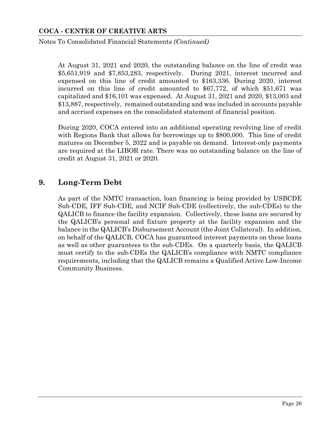Notes To Consolidated Financial Statements *(Continued)*

At August 31, 2021 and 2020, the outstanding balance on the line of credit was \$5,651,919 and \$7,853,283, respectively. During 2021, interest incurred and expensed on this line of credit amounted to \$163,336. During 2020, interest incurred on this line of credit amounted to \$67,772, of which \$51,671 was capitalized and \$16,101 was expensed. At August 31, 2021 and 2020, \$13,003 and \$13,887, respectively, remained outstanding and was included in accounts payable and accrued expenses on the consolidated statement of financial position.

During 2020, COCA entered into an additional operating revolving line of credit with Regions Bank that allows for borrowings up to \$800,000. This line of credit matures on December 5, 2022 and is payable on demand. Interest-only payments are required at the LIBOR rate. There was no outstanding balance on the line of credit at August 31, 2021 or 2020.

## **9. Long-Term Debt**

As part of the NMTC transaction, loan financing is being provided by USBCDE Sub-CDE, IFF Sub-CDE, and NCIF Sub-CDE (collectively, the sub-CDEs) to the QALICB to finance the facility expansion. Collectively, these loans are secured by the QALICB's personal and fixture property at the facility expansion and the balance in the QALICB's Disbursement Account (the Joint Collateral). In addition, on behalf of the QALICB, COCA has guaranteed interest payments on these loans as well as other guarantees to the sub-CDEs. On a quarterly basis, the QALICB must certify to the sub-CDEs the QALICB's compliance with NMTC compliance requirements, including that the QALICB remains a Qualified Active Low-Income Community Business.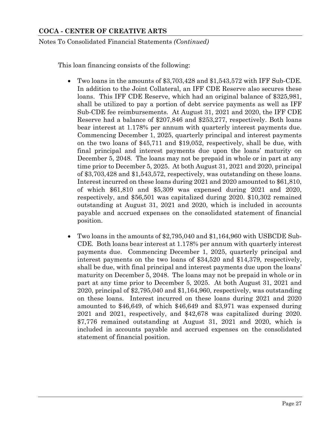Notes To Consolidated Financial Statements *(Continued)*

This loan financing consists of the following:

- Two loans in the amounts of \$3,703,428 and \$1,543,572 with IFF Sub-CDE. In addition to the Joint Collateral, an IFF CDE Reserve also secures these loans. This IFF CDE Reserve, which had an original balance of \$325,981, shall be utilized to pay a portion of debt service payments as well as IFF Sub-CDE fee reimbursements. At August 31, 2021 and 2020, the IFF CDE Reserve had a balance of \$207,846 and \$253,277, respectively. Both loans bear interest at 1.178% per annum with quarterly interest payments due. Commencing December 1, 2025, quarterly principal and interest payments on the two loans of \$45,711 and \$19,052, respectively, shall be due, with final principal and interest payments due upon the loans' maturity on December 5, 2048. The loans may not be prepaid in whole or in part at any time prior to December 5, 2025. At both August 31, 2021 and 2020, principal of \$3,703,428 and \$1,543,572, respectively, was outstanding on these loans. Interest incurred on these loans during 2021 and 2020 amounted to \$61,810, of which \$61,810 and \$5,309 was expensed during 2021 and 2020, respectively, and \$56,501 was capitalized during 2020. \$10,302 remained outstanding at August 31, 2021 and 2020, which is included in accounts payable and accrued expenses on the consolidated statement of financial position.
- Two loans in the amounts of \$2,795,040 and \$1,164,960 with USBCDE Sub-CDE. Both loans bear interest at 1.178% per annum with quarterly interest payments due. Commencing December 1, 2025, quarterly principal and interest payments on the two loans of \$34,520 and \$14,379, respectively, shall be due, with final principal and interest payments due upon the loans' maturity on December 5, 2048. The loans may not be prepaid in whole or in part at any time prior to December 5, 2025. At both August 31, 2021 and 2020, principal of \$2,795,040 and \$1,164,960, respectively, was outstanding on these loans. Interest incurred on these loans during 2021 and 2020 amounted to \$46,649, of which \$46,649 and \$3,971 was expensed during 2021 and 2021, respectively, and \$42,678 was capitalized during 2020. \$7,776 remained outstanding at August 31, 2021 and 2020, which is included in accounts payable and accrued expenses on the consolidated statement of financial position.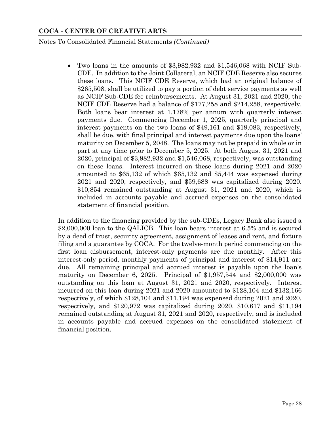Notes To Consolidated Financial Statements *(Continued)*

 Two loans in the amounts of \$3,982,932 and \$1,546,068 with NCIF Sub-CDE. In addition to the Joint Collateral, an NCIF CDE Reserve also secures these loans. This NCIF CDE Reserve, which had an original balance of \$265,508, shall be utilized to pay a portion of debt service payments as well as NCIF Sub-CDE fee reimbursements. At August 31, 2021 and 2020, the NCIF CDE Reserve had a balance of \$177,258 and \$214,258, respectively. Both loans bear interest at 1.178% per annum with quarterly interest payments due. Commencing December 1, 2025, quarterly principal and interest payments on the two loans of \$49,161 and \$19,083, respectively, shall be due, with final principal and interest payments due upon the loans' maturity on December 5, 2048. The loans may not be prepaid in whole or in part at any time prior to December 5, 2025. At both August 31, 2021 and 2020, principal of \$3,982,932 and \$1,546,068, respectively, was outstanding on these loans. Interest incurred on these loans during 2021 and 2020 amounted to \$65,132 of which \$65,132 and \$5,444 was expensed during 2021 and 2020, respectively, and \$59,688 was capitalized during 2020. \$10,854 remained outstanding at August 31, 2021 and 2020, which is included in accounts payable and accrued expenses on the consolidated statement of financial position.

In addition to the financing provided by the sub-CDEs, Legacy Bank also issued a \$2,000,000 loan to the QALICB. This loan bears interest at 6.5% and is secured by a deed of trust, security agreement, assignment of leases and rent, and fixture filing and a guarantee by COCA. For the twelve-month period commencing on the first loan disbursement, interest-only payments are due monthly. After this interest-only period, monthly payments of principal and interest of \$14,911 are due. All remaining principal and accrued interest is payable upon the loan's maturity on December 6, 2025. Principal of \$1,957,544 and \$2,000,000 was outstanding on this loan at August 31, 2021 and 2020, respectively. Interest incurred on this loan during 2021 and 2020 amounted to \$128,104 and \$132,166 respectively, of which \$128,104 and \$11,194 was expensed during 2021 and 2020, respectively, and \$120,972 was capitalized during 2020. \$10,617 and \$11,194 remained outstanding at August 31, 2021 and 2020, respectively, and is included in accounts payable and accrued expenses on the consolidated statement of financial position.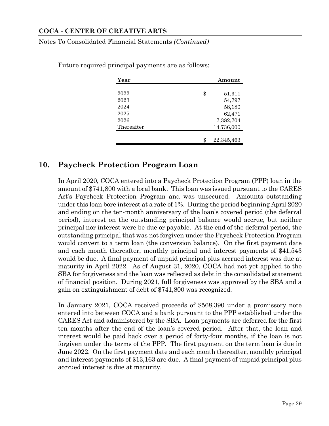Notes To Consolidated Financial Statements *(Continued)*

| Year       | Amount           |
|------------|------------------|
|            |                  |
| 2022       | \$<br>51,311     |
| 2023       | 54,797           |
| 2024       | 58,180           |
| 2025       | 62,471           |
| 2026       | 7,382,704        |
| Thereafter | 14,736,000       |
|            |                  |
|            | \$<br>22,345,463 |

Future required principal payments are as follows:

## **10. Paycheck Protection Program Loan**

In April 2020, COCA entered into a Paycheck Protection Program (PPP) loan in the amount of \$741,800 with a local bank. This loan was issued pursuant to the CARES Act's Paycheck Protection Program and was unsecured. Amounts outstanding under this loan bore interest at a rate of 1%. During the period beginning April 2020 and ending on the ten-month anniversary of the loan's covered period (the deferral period), interest on the outstanding principal balance would accrue, but neither principal nor interest were be due or payable. At the end of the deferral period, the outstanding principal that was not forgiven under the Paycheck Protection Program would convert to a term loan (the conversion balance). On the first payment date and each month thereafter, monthly principal and interest payments of \$41,543 would be due. A final payment of unpaid principal plus accrued interest was due at maturity in April 2022. As of August 31, 2020, COCA had not yet applied to the SBA for forgiveness and the loan was reflected as debt in the consolidated statement of financial position. During 2021, full forgiveness was approved by the SBA and a gain on extinguishment of debt of \$741,800 was recognized.

In January 2021, COCA received proceeds of \$568,390 under a promissory note entered into between COCA and a bank pursuant to the PPP established under the CARES Act and administered by the SBA. Loan payments are deferred for the first ten months after the end of the loan's covered period. After that, the loan and interest would be paid back over a period of forty-four months, if the loan is not forgiven under the terms of the PPP. The first payment on the term loan is due in June 2022. On the first payment date and each month thereafter, monthly principal and interest payments of \$13,163 are due. A final payment of unpaid principal plus accrued interest is due at maturity.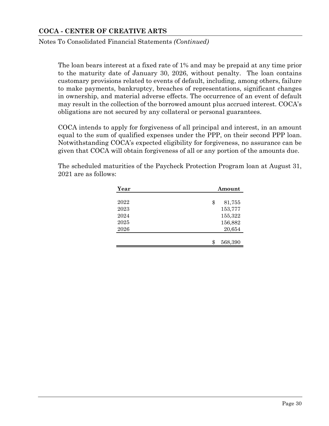Notes To Consolidated Financial Statements *(Continued)*

The loan bears interest at a fixed rate of 1% and may be prepaid at any time prior to the maturity date of January 30, 2026, without penalty. The loan contains customary provisions related to events of default, including, among others, failure to make payments, bankruptcy, breaches of representations, significant changes in ownership, and material adverse effects. The occurrence of an event of default may result in the collection of the borrowed amount plus accrued interest. COCA's obligations are not secured by any collateral or personal guarantees.

COCA intends to apply for forgiveness of all principal and interest, in an amount equal to the sum of qualified expenses under the PPP, on their second PPP loan. Notwithstanding COCA's expected eligibility for forgiveness, no assurance can be given that COCA will obtain forgiveness of all or any portion of the amounts due.

| Year | Amount        |
|------|---------------|
| 2022 | \$<br>81,755  |
| 2023 | 153,777       |
| 2024 | 155,322       |
| 2025 | 156,882       |
| 2026 | 20,654        |
|      |               |
|      | 568,390<br>\$ |

The scheduled maturities of the Paycheck Protection Program loan at August 31, 2021 are as follows: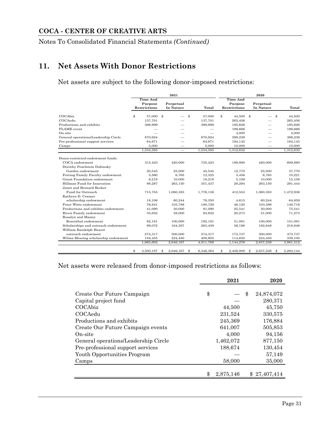Notes To Consolidated Financial Statements *(Continued)*

## **11. Net Assets With Donor Restrictions**

Net assets are subject to the following donor-imposed restrictions:

|                                      | 2021            |              |              |                          |    | 2020            |    |              |    |                          |    |           |
|--------------------------------------|-----------------|--------------|--------------|--------------------------|----|-----------------|----|--------------|----|--------------------------|----|-----------|
|                                      | <b>Time And</b> |              |              |                          |    | <b>Time And</b> |    |              |    |                          |    |           |
|                                      |                 | Purpose      |              | Perpetual                |    |                 |    | Purpose      |    | Perpetual                |    |           |
|                                      |                 | Restrictions |              | In Nature                |    | Total           |    | Restrictions |    | In Nature                |    | Total     |
| COCAbiz                              | \$              | 57,000       | $\mathbf{s}$ |                          | \$ | 57.000          | \$ | 44,500 \$    |    |                          | \$ | 44.500    |
| COCAedu                              |                 | 137,701      |              |                          |    | 137,701         |    | 265,456      |    |                          |    | 265,456   |
| Productions and exhibits             |                 | 398,999      |              |                          |    | 398,999         |    | 195,626      |    |                          |    | 195,626   |
| FLAME event                          |                 |              |              |                          |    |                 |    | 199,666      |    |                          |    | 199,666   |
| On-site                              |                 |              |              |                          |    |                 |    | 4,000        |    |                          |    | 4,000     |
| General operations/Leadership Circle |                 | 870,924      |              |                          |    | 870,924         |    | 399,239      |    |                          |    | 399,239   |
| Pre-professional support services    |                 | 64,971       |              |                          |    | 64,971          |    | 194,145      |    |                          |    | 194,145   |
| Camps                                |                 | 5,000        |              |                          |    | 5,000           |    | 10,000       |    |                          |    | 10,000    |
|                                      |                 | 1,534,595    |              | $\overline{\phantom{0}}$ |    | 1,534,595       |    | 1,312,632    |    | $\overline{\phantom{0}}$ |    | 1,312,632 |
|                                      |                 |              |              |                          |    |                 |    |              |    |                          |    |           |
| Donor-restricted endowment funds:    |                 |              |              |                          |    |                 |    |              |    |                          |    |           |
| COCA endowment                       |                 | 315,423      |              | 420,000                  |    | 735,423         |    | 189,880      |    | 420,000                  |    | 609,880   |
| Dorothy Pearlstein Dubinsky          |                 |              |              |                          |    |                 |    |              |    |                          |    |           |
| Garden endowment                     |                 | 20,545       |              | 25,000                   |    | 45,545          |    | 12,770       |    | 25,000                   |    | 37,770    |
| Ferring Family Faculty endowment     |                 | 5,560        |              | 6,765                    |    | 12,325          |    | 3,456        |    | 6,765                    |    | 10,221    |
| Grant Foundation endowment           |                 | 8,218        |              | 10,000                   |    | 18,218          |    | 5,108        |    | 10,000                   |    | 15,108    |
| Hillman Fund for Innovation          |                 | 88,287       |              | 263,150                  |    | 351,437         |    | 28,294       |    | 263,150                  |    | 291,444   |
| Janet and Bernard Becker             |                 |              |              |                          |    |                 |    |              |    |                          |    |           |
| Fund for Outreach                    |                 | 715,755      |              | 1,060,383                |    | 1,776,138       |    | 412,553      |    | 1,060,383                |    | 1,472,936 |
| Kathryn D. Cramer                    |                 |              |              |                          |    |                 |    |              |    |                          |    |           |
| scholarship endowment                |                 | 18,106       |              | 60,244                   |    | 78,350          |    | 4,615        |    | 60,244                   |    | 64,859    |
| Peter Witte endowment                |                 | 76,941       |              | 103,788                  |    | 180,729         |    | 46,120       |    | 103,596                  |    | 149,716   |
| Productions and exhibits endowment   |                 | 41,090       |              | 50,000                   |    | 91,090          |    | 25,541       |    | 50,000                   |    | 75,541    |
| Riven Family endowment               |                 | 35,652       |              | 58,000                   |    | 93.652          |    | 20,273       |    | 51.000                   |    | 71,273    |
| Rosalyn and Manny                    |                 |              |              |                          |    |                 |    |              |    |                          |    |           |
| Rosenthal endowment                  |                 | 82,181       |              | 100,000                  |    | 182,181         |    | 51,081       |    | 100,000                  |    | 151,081   |
| Scholarships and outreach endowment  |                 | 99,072       |              | 164,387                  |    | 263,459         |    | 56,198       |    | 162,648                  |    | 218,846   |
| William Randolph Hearst              |                 |              |              |                          |    |                 |    |              |    |                          |    |           |
| outreach endowment                   |                 | 274,317      |              | 300,000                  |    | 574,317         |    | 173,737      |    | 300,000                  |    | 473,737   |
| Wilma Messing scholarship endowment  |                 | 184,455      |              | 224,450                  |    | 408,905         |    | 114,650      |    | 224,450                  |    | 339,100   |
|                                      |                 | 1,965,602    |              | 2,846,167                |    | 4,811,769       |    | 1,144,276    |    | 2,837,236                |    | 3,981,512 |
|                                      | \$              | 3,500,197    | -\$          | 2,846,167                | \$ | 6,346,364       | \$ | 2,456,908    | \$ | 2,837,236                | \$ | 5,294,144 |

Net assets were released from donor-imposed restrictions as follows:

|                                      | 2021      | 2020             |
|--------------------------------------|-----------|------------------|
|                                      |           |                  |
| Create Our Future Campaign           | \$        | \$<br>24,874,072 |
| Capital project fund                 |           | 280,371          |
| COCAbiz                              | 44,500    | 45,750           |
| COCAedu                              | 231,524   | 330,575          |
| Productions and exhibits             | 245,369   | 176,884          |
| Create Our Future Campaign events    | 641,007   | 505,853          |
| On-site                              | 4,000     | 94,156           |
| General operations/Leadership Circle | 1,462,072 | 877,150          |
| Pre-professional support services    | 188,674   | 130,454          |
| Youth Opportunities Program          |           | 57,149           |
| Camps                                | 58,000    | 35,000           |
|                                      |           |                  |
|                                      | 2,875,146 | \$27.407.414     |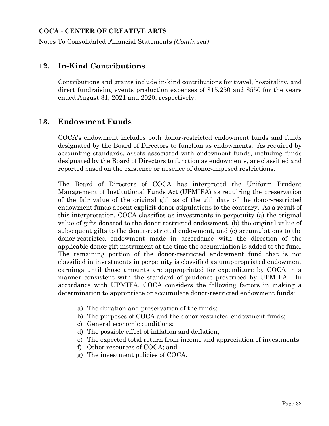Notes To Consolidated Financial Statements *(Continued)*

## **12. In-Kind Contributions**

Contributions and grants include in-kind contributions for travel, hospitality, and direct fundraising events production expenses of \$15,250 and \$550 for the years ended August 31, 2021 and 2020, respectively.

## **13. Endowment Funds**

COCA's endowment includes both donor-restricted endowment funds and funds designated by the Board of Directors to function as endowments. As required by accounting standards, assets associated with endowment funds, including funds designated by the Board of Directors to function as endowments, are classified and reported based on the existence or absence of donor-imposed restrictions.

The Board of Directors of COCA has interpreted the Uniform Prudent Management of Institutional Funds Act (UPMIFA) as requiring the preservation of the fair value of the original gift as of the gift date of the donor-restricted endowment funds absent explicit donor stipulations to the contrary. As a result of this interpretation, COCA classifies as investments in perpetuity (a) the original value of gifts donated to the donor-restricted endowment, (b) the original value of subsequent gifts to the donor-restricted endowment, and (c) accumulations to the donor-restricted endowment made in accordance with the direction of the applicable donor gift instrument at the time the accumulation is added to the fund. The remaining portion of the donor-restricted endowment fund that is not classified in investments in perpetuity is classified as unappropriated endowment earnings until those amounts are appropriated for expenditure by COCA in a manner consistent with the standard of prudence prescribed by UPMIFA. In accordance with UPMIFA, COCA considers the following factors in making a determination to appropriate or accumulate donor-restricted endowment funds:

- a) The duration and preservation of the funds;
- b) The purposes of COCA and the donor-restricted endowment funds;
- c) General economic conditions;
- d) The possible effect of inflation and deflation;
- e) The expected total return from income and appreciation of investments;
- f) Other resources of COCA; and
- g) The investment policies of COCA.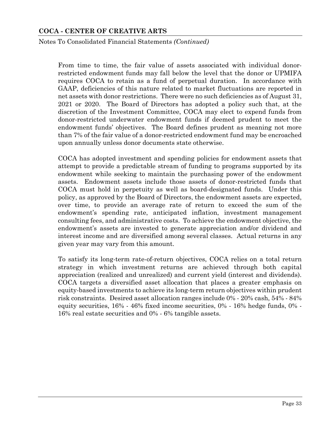#### Notes To Consolidated Financial Statements *(Continued)*

From time to time, the fair value of assets associated with individual donorrestricted endowment funds may fall below the level that the donor or UPMIFA requires COCA to retain as a fund of perpetual duration. In accordance with GAAP, deficiencies of this nature related to market fluctuations are reported in net assets with donor restrictions. There were no such deficiencies as of August 31, 2021 or 2020. The Board of Directors has adopted a policy such that, at the discretion of the Investment Committee, COCA may elect to expend funds from donor-restricted underwater endowment funds if deemed prudent to meet the endowment funds' objectives. The Board defines prudent as meaning not more than 7% of the fair value of a donor-restricted endowment fund may be encroached upon annually unless donor documents state otherwise.

COCA has adopted investment and spending policies for endowment assets that attempt to provide a predictable stream of funding to programs supported by its endowment while seeking to maintain the purchasing power of the endowment assets. Endowment assets include those assets of donor-restricted funds that COCA must hold in perpetuity as well as board-designated funds. Under this policy, as approved by the Board of Directors, the endowment assets are expected, over time, to provide an average rate of return to exceed the sum of the endowment's spending rate, anticipated inflation, investment management consulting fees, and administrative costs. To achieve the endowment objective, the endowment's assets are invested to generate appreciation and/or dividend and interest income and are diversified among several classes. Actual returns in any given year may vary from this amount.

To satisfy its long-term rate-of-return objectives, COCA relies on a total return strategy in which investment returns are achieved through both capital appreciation (realized and unrealized) and current yield (interest and dividends). COCA targets a diversified asset allocation that places a greater emphasis on equity-based investments to achieve its long-term return objectives within prudent risk constraints. Desired asset allocation ranges include 0% - 20% cash, 54% - 84% equity securities, 16% - 46% fixed income securities, 0% - 16% hedge funds, 0% - 16% real estate securities and 0% - 6% tangible assets.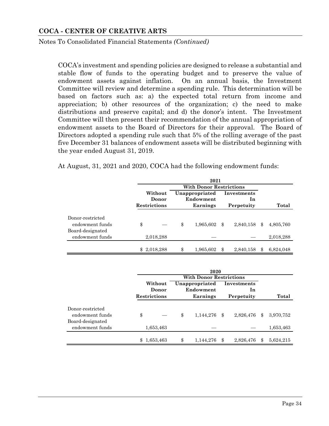Notes To Consolidated Financial Statements *(Continued)*

COCA's investment and spending policies are designed to release a substantial and stable flow of funds to the operating budget and to preserve the value of endowment assets against inflation. On an annual basis, the Investment Committee will review and determine a spending rule. This determination will be based on factors such as: a) the expected total return from income and appreciation; b) other resources of the organization; c) the need to make distributions and preserve capital; and d) the donor's intent. The Investment Committee will then present their recommendation of the annual appropriation of endowment assets to the Board of Directors for their approval. The Board of Directors adopted a spending rule such that 5% of the rolling average of the past five December 31 balances of endowment assets will be distributed beginning with the year ended August 31, 2019.

At August, 31, 2021 and 2020, COCA had the following endowment funds:

|                                                         | 2021                                    |             |    |                                |            |                   |    |           |  |  |  |  |  |
|---------------------------------------------------------|-----------------------------------------|-------------|----|--------------------------------|------------|-------------------|----|-----------|--|--|--|--|--|
|                                                         |                                         |             |    | <b>With Donor Restrictions</b> |            |                   |    |           |  |  |  |  |  |
|                                                         | Without<br>Donor<br><b>Restrictions</b> |             |    | Unappropriated<br>Endowment    |            | Investments<br>1n |    |           |  |  |  |  |  |
|                                                         |                                         |             |    | Earnings                       | Perpetuity |                   |    | Total     |  |  |  |  |  |
| Donor-restricted<br>endowment funds<br>Board-designated | \$                                      |             | \$ | 1,965,602                      | \$         | 2,840,158         | \$ | 4,805,760 |  |  |  |  |  |
| endowment funds                                         |                                         | 2,018,288   |    |                                |            |                   |    | 2,018,288 |  |  |  |  |  |
|                                                         |                                         | \$2,018,288 | \$ | 1,965,602                      | \$         | 2,840,158         | Я  | 6,824,048 |  |  |  |  |  |

|                                     | 2020                         |           |    |                                |                  |                             |               |           |  |  |  |  |
|-------------------------------------|------------------------------|-----------|----|--------------------------------|------------------|-----------------------------|---------------|-----------|--|--|--|--|
|                                     |                              |           |    | <b>With Donor Restrictions</b> |                  |                             |               |           |  |  |  |  |
|                                     |                              |           |    | Without                        |                  | Unappropriated<br>Endowment | Investments   |           |  |  |  |  |
|                                     | Donor<br><b>Restrictions</b> |           |    | Earnings                       | 1n<br>Perpetuity |                             |               | Total     |  |  |  |  |
| Donor-restricted<br>endowment funds | \$                           |           | \$ | 1,144,276                      | \$               | 2,826,476                   | $\mathcal{S}$ | 3,970,752 |  |  |  |  |
| Board-designated<br>endowment funds |                              | 1,653,463 |    |                                |                  |                             |               | 1,653,463 |  |  |  |  |
|                                     | \$                           | 1,653,463 | \$ | 1,144,276                      | \$               | 2,826,476                   | \$            | 5,624,215 |  |  |  |  |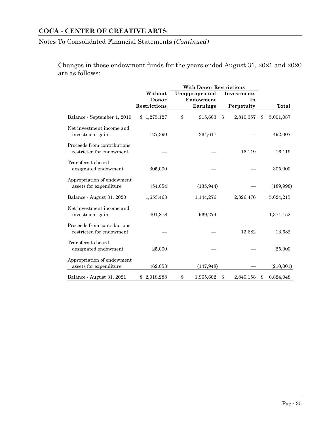## Notes To Consolidated Financial Statements *(Continued)*

Changes in these endowment funds for the years ended August 31, 2021 and 2020 are as follows:

|                                                         | Without                      | Unappropriated        |               | Investments      |                 |
|---------------------------------------------------------|------------------------------|-----------------------|---------------|------------------|-----------------|
|                                                         | Donor<br><b>Restrictions</b> | Endowment<br>Earnings |               | In<br>Perpetuity | Total           |
| Balance - September 1, 2019                             | 1,275,127<br>$\mathcal{S}$   | \$<br>915,603         | $\mathcal{S}$ | 2,810,357        | \$<br>5,001,087 |
| Net investment income and<br>investment gains           | 127,390                      | 364,617               |               |                  | 492,007         |
| Proceeds from contributions<br>restricted for endowment |                              |                       |               | 16,119           | 16,119          |
| Transfers to board-<br>designated endowment             | 305,000                      |                       |               |                  | 305,000         |
| Appropriation of endowment<br>assets for expenditure    | (54, 054)                    | (135, 944)            |               |                  | (189, 998)      |
| Balance - August 31, 2020                               | 1,653,463                    | 1,144,276             |               | 2,826,476        | 5,624,215       |
| Net investment income and<br>investment gains           | 401,878                      | 969,274               |               |                  | 1,371,152       |
| Proceeds from contributions<br>restricted for endowment |                              |                       |               | 13,682           | 13,682          |
| Transfers to board-<br>designated endowment             | 25,000                       |                       |               |                  | 25,000          |
| Appropriation of endowment<br>assets for expenditure    | (62,053)                     | (147, 948)            |               |                  | (210,001)       |
| Balance - August 31, 2021                               | \$2,018,288                  | \$<br>1,965,602       | \$            | 2,840,158        | \$<br>6,824,048 |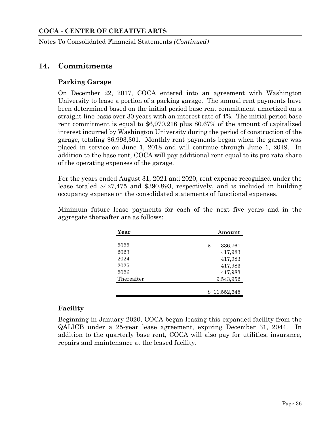Notes To Consolidated Financial Statements *(Continued)*

## **14. Commitments**

## **Parking Garage**

On December 22, 2017, COCA entered into an agreement with Washington University to lease a portion of a parking garage. The annual rent payments have been determined based on the initial period base rent commitment amortized on a straight-line basis over 30 years with an interest rate of 4%. The initial period base rent commitment is equal to \$6,970,216 plus 80.67% of the amount of capitalized interest incurred by Washington University during the period of construction of the garage, totaling \$6,993,301. Monthly rent payments began when the garage was placed in service on June 1, 2018 and will continue through June 1, 2049. In addition to the base rent, COCA will pay additional rent equal to its pro rata share of the operating expenses of the garage.

For the years ended August 31, 2021 and 2020, rent expense recognized under the lease totaled \$427,475 and \$390,893, respectively, and is included in building occupancy expense on the consolidated statements of functional expenses.

Minimum future lease payments for each of the next five years and in the aggregate thereafter are as follows:

| Year       | Amount        |  |
|------------|---------------|--|
|            |               |  |
| 2022       | \$<br>336,761 |  |
| 2023       | 417,983       |  |
| 2024       | 417,983       |  |
| 2025       | 417,983       |  |
| 2026       | 417,983       |  |
| Thereafter | 9,543,952     |  |
|            |               |  |
|            | 11,552,645    |  |

## **Facility**

Beginning in January 2020, COCA began leasing this expanded facility from the QALICB under a 25-year lease agreement, expiring December 31, 2044. In addition to the quarterly base rent, COCA will also pay for utilities, insurance, repairs and maintenance at the leased facility.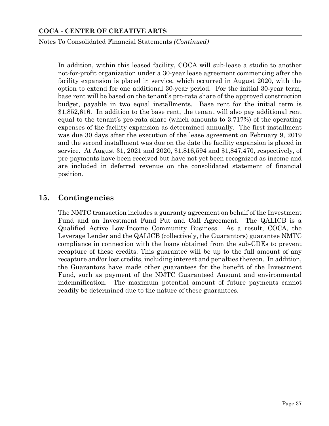Notes To Consolidated Financial Statements *(Continued)*

In addition, within this leased facility, COCA will sub-lease a studio to another not-for-profit organization under a 30-year lease agreement commencing after the facility expansion is placed in service, which occurred in August 2020, with the option to extend for one additional 30-year period. For the initial 30-year term, base rent will be based on the tenant's pro-rata share of the approved construction budget, payable in two equal installments. Base rent for the initial term is \$1,852,616. In addition to the base rent, the tenant will also pay additional rent equal to the tenant's pro-rata share (which amounts to 3.717%) of the operating expenses of the facility expansion as determined annually. The first installment was due 30 days after the execution of the lease agreement on February 9, 2019 and the second installment was due on the date the facility expansion is placed in service. At August 31, 2021 and 2020, \$1,816,594 and \$1,847,470, respectively, of pre-payments have been received but have not yet been recognized as income and are included in deferred revenue on the consolidated statement of financial position.

## **15. Contingencies**

The NMTC transaction includes a guaranty agreement on behalf of the Investment Fund and an Investment Fund Put and Call Agreement. The QALICB is a Qualified Active Low-Income Community Business. As a result, COCA, the Leverage Lender and the QALICB (collectively, the Guarantors) guarantee NMTC compliance in connection with the loans obtained from the sub-CDEs to prevent recapture of these credits. This guarantee will be up to the full amount of any recapture and/or lost credits, including interest and penalties thereon. In addition, the Guarantors have made other guarantees for the benefit of the Investment Fund, such as payment of the NMTC Guaranteed Amount and environmental indemnification. The maximum potential amount of future payments cannot readily be determined due to the nature of these guarantees.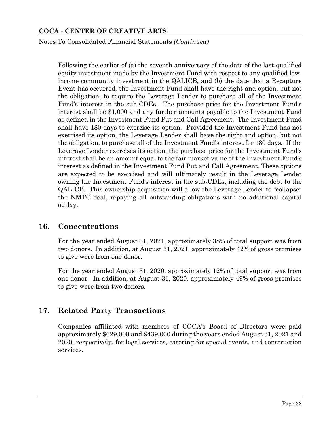Notes To Consolidated Financial Statements *(Continued)*

Following the earlier of (a) the seventh anniversary of the date of the last qualified equity investment made by the Investment Fund with respect to any qualified lowincome community investment in the QALICB, and (b) the date that a Recapture Event has occurred, the Investment Fund shall have the right and option, but not the obligation, to require the Leverage Lender to purchase all of the Investment Fund's interest in the sub-CDEs. The purchase price for the Investment Fund's interest shall be \$1,000 and any further amounts payable to the Investment Fund as defined in the Investment Fund Put and Call Agreement. The Investment Fund shall have 180 days to exercise its option. Provided the Investment Fund has not exercised its option, the Leverage Lender shall have the right and option, but not the obligation, to purchase all of the Investment Fund's interest for 180 days. If the Leverage Lender exercises its option, the purchase price for the Investment Fund's interest shall be an amount equal to the fair market value of the Investment Fund's interest as defined in the Investment Fund Put and Call Agreement. These options are expected to be exercised and will ultimately result in the Leverage Lender owning the Investment Fund's interest in the sub-CDEs, including the debt to the QALICB. This ownership acquisition will allow the Leverage Lender to "collapse" the NMTC deal, repaying all outstanding obligations with no additional capital outlay.

## **16. Concentrations**

For the year ended August 31, 2021, approximately 38% of total support was from two donors. In addition, at August 31, 2021, approximately 42% of gross promises to give were from one donor.

For the year ended August 31, 2020, approximately 12% of total support was from one donor. In addition, at August 31, 2020, approximately 49% of gross promises to give were from two donors.

## **17. Related Party Transactions**

Companies affiliated with members of COCA's Board of Directors were paid approximately \$629,000 and \$439,000 during the years ended August 31, 2021 and 2020, respectively, for legal services, catering for special events, and construction services.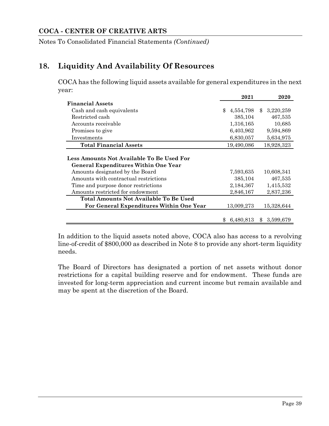Notes To Consolidated Financial Statements *(Continued)*

## **18. Liquidity And Availability Of Resources**

COCA has the following liquid assets available for general expenditures in the next year:

|                                                                                          | 2021                       | 2020                      |
|------------------------------------------------------------------------------------------|----------------------------|---------------------------|
| <b>Financial Assets</b>                                                                  |                            |                           |
| Cash and cash equivalents                                                                | $\mathbf{\$}$<br>4,554,798 | 3,220,259<br>$\mathbb{S}$ |
| Restricted cash                                                                          | 385,104                    | 467,535                   |
| Accounts receivable                                                                      | 1,316,165                  | 10,685                    |
| Promises to give                                                                         | 6,403,962                  | 9,594,869                 |
| Investments                                                                              | 6,830,057                  | 5,634,975                 |
| <b>Total Financial Assets</b>                                                            | 19,490,086                 | 18,928,323                |
| Less Amounts Not Available To Be Used For<br><b>General Expenditures Within One Year</b> |                            |                           |
| Amounts designated by the Board                                                          | 7,593,635                  | 10,608,341                |
| Amounts with contractual restrictions                                                    | 385,104                    | 467,535                   |
| Time and purpose donor restrictions                                                      | 2,184,367                  | 1,415,532                 |
| Amounts restricted for endowment                                                         | 2,846,167                  | 2,837,236                 |
| Total Amounts Not Available To Be Used                                                   |                            |                           |
| For General Expenditures Within One Year                                                 | 13,009,273                 | 15,328,644                |
|                                                                                          | 6,480,813<br>\$.           | 3,599,679<br>\$.          |

In addition to the liquid assets noted above, COCA also has access to a revolving line-of-credit of \$800,000 as described in Note 8 to provide any short-term liquidity needs.

The Board of Directors has designated a portion of net assets without donor restrictions for a capital building reserve and for endowment. These funds are invested for long-term appreciation and current income but remain available and may be spent at the discretion of the Board.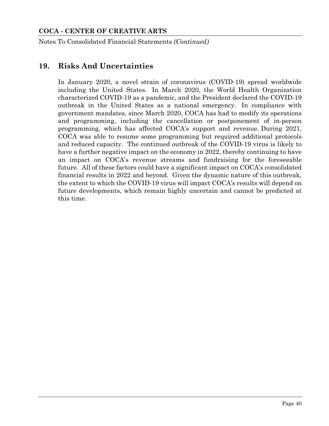Notes To Consolidated Financial Statements *(Continued)*

## **19. Risks And Uncertainties**

In January 2020, a novel strain of coronavirus (COVID-19) spread worldwide including the United States. In March 2020, the World Health Organization characterized COVID-19 as a pandemic, and the President declared the COVID-19 outbreak in the United States as a national emergency. In compliance with government mandates, since March 2020, COCA has had to modify its operations and programming, including the cancellation or postponement of in-person programming, which has affected COCA's support and revenue. During 2021, COCA was able to resume some programming but required additional protocols and reduced capacity. The continued outbreak of the COVID-19 virus is likely to have a further negative impact on the economy in 2022, thereby continuing to have an impact on COCA's revenue streams and fundraising for the foreseeable future. All of these factors could have a significant impact on COCA's consolidated financial results in 2022 and beyond. Given the dynamic nature of this outbreak, the extent to which the COVID-19 virus will impact COCA's results will depend on future developments, which remain highly uncertain and cannot be predicted at this time.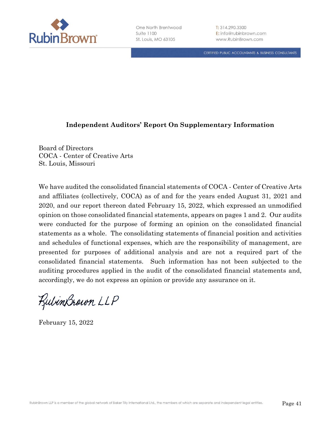

CERTIFIED PUBLIC ACCOUNTANTS & BUSINESS CONSULTANTS

### **Independent Auditors' Report On Supplementary Information**

Board of Directors COCA - Center of Creative Arts St. Louis, Missouri

We have audited the consolidated financial statements of COCA - Center of Creative Arts and affiliates (collectively, COCA) as of and for the years ended August 31, 2021 and 2020, and our report thereon dated February 15, 2022, which expressed an unmodified opinion on those consolidated financial statements, appears on pages 1 and 2. Our audits were conducted for the purpose of forming an opinion on the consolidated financial statements as a whole. The consolidating statements of financial position and activities and schedules of functional expenses, which are the responsibility of management, are presented for purposes of additional analysis and are not a required part of the consolidated financial statements. Such information has not been subjected to the auditing procedures applied in the audit of the consolidated financial statements and, accordingly, we do not express an opinion or provide any assurance on it.

RubinBrown LLP

February 15, 2022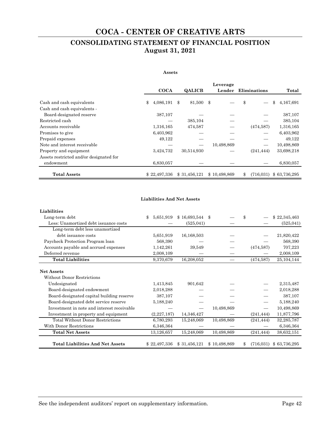## **CONSOLIDATING STATEMENT OF FINANCIAL POSITION August 31, 2021**

#### **Assets**

|                                                          |     |              |                          | Leverage     |                     |              |
|----------------------------------------------------------|-----|--------------|--------------------------|--------------|---------------------|--------------|
|                                                          |     | <b>COCA</b>  | <b>QALICB</b>            | Lender       | <b>Eliminations</b> | Total        |
|                                                          |     | 4,086,191    | \$<br>81,500 \$          |              | \$                  | 4,167,691    |
| Cash and cash equivalents<br>Cash and cash equivalents - | \$. |              |                          |              |                     | \$           |
| Board-designated reserve                                 |     | 387,107      |                          |              |                     | 387,107      |
| Restricted cash                                          |     |              | 385,104                  |              |                     | 385,104      |
| Accounts receivable                                      |     | 1,316,165    | 474,587                  |              | (474, 587)          | 1,316,165    |
| Promises to give                                         |     | 6,403,962    |                          |              |                     | 6,403,962    |
| Prepaid expenses                                         |     | 49,122       |                          |              |                     | 49,122       |
| Note and interest receivable                             |     |              | $\overline{\phantom{0}}$ | 10,498,869   |                     | 10,498,869   |
| Property and equipment                                   |     | 3,424,732    | 30,514,930               |              | (241, 444)          | 33,698,218   |
| Assets restricted and/or designated for                  |     |              |                          |              |                     |              |
| endowment                                                |     | 6,830,057    |                          |              |                     | 6,830,057    |
| <b>Total Assets</b>                                      |     | \$22,497,336 | \$31,456,121             | \$10.498.869 | \$<br>(716,031)     | \$63,736,295 |

#### **Liabilities And Net Assets**

| Liabilities                                     |                 |              |     |              |                 |              |
|-------------------------------------------------|-----------------|--------------|-----|--------------|-----------------|--------------|
| Long-term debt                                  | \$<br>5,651,919 | \$16,693,544 | -\$ |              | \$              | \$22,345,463 |
| Less: Unamortized debt issuance costs           |                 | (525, 041)   |     |              |                 | (525, 041)   |
| Long-term debt less unamortized                 |                 |              |     |              |                 |              |
| debt issuance costs                             | 5,651,919       | 16,168,503   |     |              |                 | 21,820,422   |
| Paycheck Protection Program loan                | 568,390         |              |     |              |                 | 568,390      |
| Accounts payable and accrued expenses           | 1,142,261       | 39,549       |     |              | (474, 587)      | 707,223      |
| Deferred revenue                                | 2,008,109       |              |     |              |                 | 2,008,109    |
| <b>Total Liabilities</b>                        | 9,370,679       | 16,208,052   |     |              | (474, 587)      | 25,104,144   |
| <b>Net Assets</b><br>Without Donor Restrictions |                 |              |     |              |                 |              |
| Undesignated                                    | 1,413,845       | 901,642      |     |              |                 | 2,315,487    |
| Board-designated endowment                      | 2,018,288       |              |     |              |                 | 2,018,288    |
| Board-designated capital building reserve       | 387,107         |              |     |              |                 | 387,107      |
| Board-designated debt service reserve           | 5,188,240       |              |     |              |                 | 5,188,240    |
| Investment in note and interest receivable      |                 |              |     | 10,498,869   |                 | 10,498,869   |
| Investment in property and equipment            | (2, 227, 187)   | 14,346,427   |     |              | (241, 444)      | 11,877,796   |
| <b>Total Without Donor Restrictions</b>         | 6,780,293       | 15,248,069   |     | 10,498,869   | (241, 444)      | 32,285,787   |
| With Donor Restrictions                         | 6,346,364       |              |     |              |                 | 6,346,364    |
| <b>Total Net Assets</b>                         | 13,126,657      | 15,248,069   |     | 10,498,869   | (241, 444)      | 38,632,151   |
| <b>Total Liabilities And Net Assets</b>         | \$22,497,336    | \$31,456,121 |     | \$10,498,869 | \$<br>(716,031) | \$63,736,295 |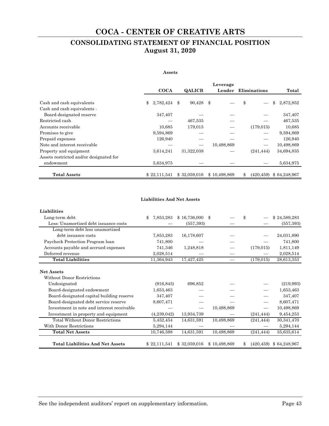## **CONSOLIDATING STATEMENT OF FINANCIAL POSITION August 31, 2020**

#### **Assets**

|                                         |                 |                          | Leverage     |                     |                              |
|-----------------------------------------|-----------------|--------------------------|--------------|---------------------|------------------------------|
|                                         | <b>COCA</b>     | <b>QALICB</b>            | Lender       | <b>Eliminations</b> | Total                        |
| Cash and cash equivalents               | 2,782,424<br>\$ | 90,428 \$<br>\$          |              | \$                  | 2,872,852<br>\$              |
| Cash and cash equivalents -             |                 |                          |              |                     |                              |
| Board-designated reserve                | 347,407         |                          |              |                     | 347,407                      |
| Restricted cash                         |                 | 467,535                  |              |                     | 467,535                      |
| Accounts receivable                     | 10,685          | 179,015                  |              | (179, 015)          | 10,685                       |
| Promises to give                        | 9,594,869       |                          |              |                     | 9,594,869                    |
| Prepaid expenses                        | 126,940         |                          |              |                     | 126,940                      |
| Note and interest receivable            |                 | $\overline{\phantom{0}}$ | 10,498,869   |                     | 10,498,869                   |
| Property and equipment                  | 3,614,241       | 31,322,038               |              | (241, 444)          | 34,694,835                   |
| Assets restricted and/or designated for |                 |                          |              |                     |                              |
| endowment                               | 5,634,975       |                          |              |                     | 5,634,975                    |
| <b>Total Assets</b>                     | \$22,111,541    | \$32,059,016             | \$10,498,869 | \$                  | $(420, 459)$ \$ 64, 248, 967 |

#### **Liabilities And Net Assets**

| Liabilities                                     |                 |              |              |                  |              |
|-------------------------------------------------|-----------------|--------------|--------------|------------------|--------------|
| Long-term debt                                  | \$<br>7,853,283 | \$16,736,000 | \$           | \$               | \$24,589,283 |
| Less: Unamortized debt issuance costs           |                 | (557, 393)   |              |                  | (557, 393)   |
| Long-term debt less unamortized                 |                 |              |              |                  |              |
| debt issuance costs                             | 7,853,283       | 16,178,607   |              |                  | 24,031,890   |
| Paycheck Protection Program loan                | 741,800         |              |              |                  | 741,800      |
| Accounts payable and accrued expenses           | 741,346         | 1,248,818    |              | (179, 015)       | 1,811,149    |
| Deferred revenue                                | 2,028,514       |              |              |                  | 2,028,514    |
| <b>Total Liabilities</b>                        | 11,364,943      | 17,427,425   |              | (179, 015)       | 28,613,353   |
| <b>Net Assets</b><br>Without Donor Restrictions |                 |              |              |                  |              |
| Undesignated                                    | (916, 845)      | 696,852      |              |                  | (219,993)    |
| Board-designated endowment                      | 1,653,463       |              |              |                  | 1,653,463    |
| Board-designated capital building reserve       | 347,407         |              |              |                  | 347,407      |
| Board-designated debt service reserve           | 8,607,471       |              |              |                  | 8,607,471    |
| Investment in note and interest receivable      |                 |              | 10,498,869   |                  | 10,498,869   |
| Investment in property and equipment            | (4,239,042)     | 13,934,739   |              | (241, 444)       | 9,454,253    |
| <b>Total Without Donor Restrictions</b>         | 5,452,454       | 14,631,591   | 10,498,869   | (241, 444)       | 30,341,470   |
| With Donor Restrictions                         | 5,294,144       |              |              |                  | 5,294,144    |
| <b>Total Net Assets</b>                         | 10,746,598      | 14,631,591   | 10,498,869   | (241, 444)       | 35,635,614   |
| <b>Total Liabilities And Net Assets</b>         | \$22,111,541    | \$32,059,016 | \$10,498,869 | \$<br>(420, 459) | \$64,248,967 |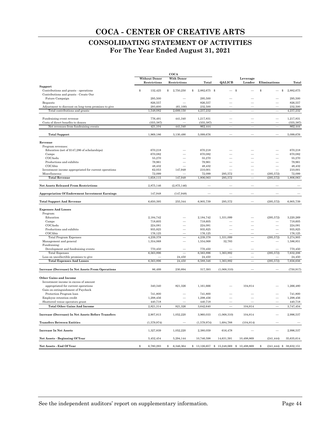## **CONSOLIDATING STATEMENT OF ACTIVITIES For The Year Ended August 31, 2021**

|                                                                              |                                      | COCA                              |                       |                                           |                          |                          |                            |
|------------------------------------------------------------------------------|--------------------------------------|-----------------------------------|-----------------------|-------------------------------------------|--------------------------|--------------------------|----------------------------|
|                                                                              | <b>Without Donor</b><br>Restrictions | <b>With Donor</b><br>Restrictions | Total                 | QALICB                                    | Leverage<br>Lender       | Eliminations             | Total                      |
| Support                                                                      |                                      |                                   |                       |                                           |                          |                          |                            |
| Contributions and grants - operations                                        | 132,425<br>$\mathbf{\hat{S}}$        | 2,750,250<br>\$                   | \$<br>2,882,675 \$    |                                           | \$                       | \$                       | \$<br>2,882,675            |
| Contributions and grants - Create Our                                        |                                      |                                   |                       |                                           |                          |                          |                            |
| Future Campaign                                                              | 295,500                              |                                   | 295,500               |                                           |                          |                          | 295,500                    |
| Bequests                                                                     | 826,557                              |                                   | 826,557               |                                           |                          |                          | 826,557                    |
| Adjustment to discount on long-term promises to give                         | 293,600<br>1,548,082                 | (61, 100)<br>2,689,150            | 232,500               |                                           |                          |                          | 232,500                    |
| Total contributions and grants                                               |                                      |                                   | 4,237,232             |                                           |                          |                          | 4,237,232                  |
| Fundraising event revenue                                                    | 776,491                              | 441,340                           | 1,217,831             |                                           |                          |                          | 1,217,831                  |
| Costs of direct benefits to donors<br>Net revenues from fundraising events   | (355, 387)<br>421,104                | 441,340                           | (355, 387)<br>862,444 | $\overline{\phantom{0}}$                  |                          | $\overline{\phantom{0}}$ | (355, 387)<br>862,444      |
|                                                                              |                                      |                                   |                       |                                           |                          |                          |                            |
| <b>Total Support</b>                                                         | 1,969,186                            | 3,130,490                         | 5,099,676             |                                           |                          |                          | 5,099,676                  |
| Revenue                                                                      |                                      |                                   |                       |                                           |                          |                          |                            |
| Program revenues:                                                            |                                      |                                   |                       |                                           |                          |                          |                            |
| Education (net of \$147,286 of scholarships)                                 | 670,218                              |                                   | 670,218               |                                           |                          |                          | 670,218                    |
| Camps                                                                        | 670,082                              |                                   | 670,082               |                                           |                          |                          | 670.082                    |
| COCAedu                                                                      | 55,270                               |                                   | 55,270                |                                           |                          |                          | 55,270                     |
| Productions and exhibits                                                     | 79,961                               |                                   | 79,961                |                                           |                          |                          | 79,961                     |
| COCAbiz                                                                      | 48,432                               |                                   | 48,432                |                                           |                          |                          | 48,432                     |
| Investment income appropriated for current operations                        | 62,053<br>72,099                     | 147,948                           | 210,001<br>72,099     | 295,572                                   |                          | (295, 572)               | 210,001<br>72,099          |
| Miscellaneous<br><b>Total Revenue</b>                                        | 1,658,115                            | 147,948                           | 1,806,063             | 295,572                                   |                          | (295, 572)               | 1,806,063                  |
|                                                                              |                                      |                                   |                       |                                           |                          |                          |                            |
| <b>Net Assets Released From Restrictions</b>                                 | 2,875,146                            | (2,875,146)                       |                       |                                           |                          |                          |                            |
| <b>Appropriation Of Endowment Investment Earnings</b>                        | 147,948                              | (147, 948)                        |                       |                                           |                          |                          |                            |
| <b>Total Support And Revenue</b>                                             | 6,650,395                            | 255,344                           | 6,905,739             | 295,572                                   |                          | (295, 572)               | 6,905,739                  |
| <b>Expenses And Losses</b>                                                   |                                      |                                   |                       |                                           |                          |                          |                            |
| Program:                                                                     |                                      |                                   |                       |                                           |                          |                          |                            |
| Education                                                                    | 2,184,742                            |                                   | 2,184,742             | 1,331,099                                 |                          | (295, 572)               | 3,220,269                  |
| Camps                                                                        | 718,605                              |                                   | 718,605               |                                           |                          |                          | 718,605                    |
| COCAedu                                                                      | 224,081                              |                                   | 224,081               |                                           |                          |                          | 224,081                    |
| Productions and exhibits                                                     | 935,825                              |                                   | 935,825               |                                           |                          |                          | 935,825                    |
| COCAbiz                                                                      | 176,125                              |                                   | 176,125               |                                           |                          |                          | 176,125                    |
| <b>Total Program Expenses</b>                                                | 4,239,378                            |                                   | 4,239,378             | 1,331,099                                 |                          | (295, 572)               | 5,274,905                  |
| Management and general<br>Fundraising:                                       | 1,554,068                            |                                   | 1,554,068             | 32,783                                    |                          |                          | 1,586,851                  |
| Development and fundraising events                                           | 770,450                              |                                   | 770,450               |                                           |                          |                          | 770,450                    |
| <b>Total Expenses</b>                                                        | 6,563,896                            |                                   | 6,563,896             | 1,363,882                                 |                          | (295, 572)               | 7,632,206                  |
| Loss on uncollectible promises to give                                       |                                      | 24,450                            | 24,450                |                                           |                          |                          | 24,450                     |
| <b>Total Expenses And Losses</b>                                             | 6,563,896                            | 24,450                            | 6,588,346             | 1,363,882                                 | $\overline{\phantom{0}}$ | (295, 572)               | 7,656,656                  |
| <b>Increase (Decrease) In Net Assets From Operations</b>                     | 86,499                               | 230,894                           | 317,393               | (1,068,310)                               |                          |                          | (750, 917)                 |
| <b>Other Gains and Income</b>                                                |                                      |                                   |                       |                                           |                          |                          |                            |
|                                                                              |                                      |                                   |                       |                                           |                          |                          |                            |
| Investment income in excess of amount<br>appropriated for current operations | 340,340                              | 821,326                           | 1,161,666             |                                           | 104,814                  |                          | 1,266,480                  |
| Gain on extinguishment of Paycheck                                           |                                      |                                   |                       |                                           |                          |                          |                            |
| Protection Program loan                                                      | 741,800                              |                                   | 741,800               |                                           |                          |                          | 741.800                    |
| Employee retention credit                                                    | 1,298,456                            | $\sim$                            | 1,298,456             |                                           |                          |                          | 1,298,456                  |
| Shuttered venue operators grant                                              | 440,718                              |                                   | 440,718               |                                           |                          |                          | 440,718                    |
| <b>Total Other Gains And Income</b>                                          | 2,821,314                            | 821,326                           | 3,642,640             |                                           | 104,814                  |                          | 3,747,454                  |
| Increase (Decrease) In Net Assets Before Transfers                           | 2,907,813                            | 1,052,220                         | 3,960,033             | (1,068,310)                               | 104,814                  |                          | 2,996,537                  |
| <b>Transfers Between Entities</b>                                            | (1,579,974)                          |                                   | (1,579,974)           | 1,684,788                                 | (104, 814)               |                          |                            |
|                                                                              |                                      |                                   |                       |                                           |                          |                          |                            |
| <b>Increase In Net Assets</b>                                                | 1,327,839                            | 1,052,220                         | 2,380,059             | 616,478                                   |                          |                          | 2,996,537                  |
| Net Assets - Beginning Of Year                                               | 5,452,454                            | 5,294,144                         | 10,746,598            | 14,631,591                                | 10,498,869               | (241, 444)               | 35,635,614                 |
| Net Assets - End Of Year                                                     | $\mathbb{S}$<br>6,780,293            | 6,346,364<br>\$                   |                       | $$13,126,657$ $$15,248,069$ $$10,498,869$ |                          | S                        | $(241, 444)$ \$ 38,632,151 |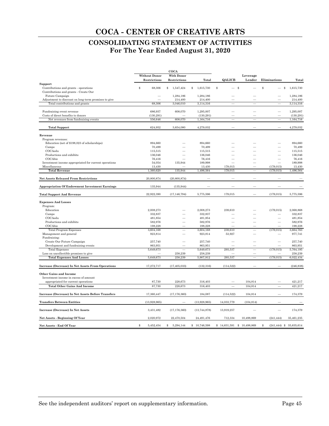## **CONSOLIDATING STATEMENT OF ACTIVITIES For The Year Ended August 31, 2020**

|                                                                                |                      | COCA              |                 |                           |                          |                                  |            |
|--------------------------------------------------------------------------------|----------------------|-------------------|-----------------|---------------------------|--------------------------|----------------------------------|------------|
|                                                                                | <b>Without Donor</b> | <b>With Donor</b> |                 |                           | Leverage                 |                                  |            |
|                                                                                | Restrictions         | Restrictions      | Total           | QALICB                    | Lender                   | Eliminations                     | Total      |
| Support                                                                        |                      |                   |                 |                           |                          |                                  |            |
| Contributions and grants - operations<br>Contributions and grants - Create Our | \$<br>68,306         | \$<br>1,547,424   | 1,615,730<br>\$ | \$<br>\$                  |                          | \$<br>S                          | 1,615,730  |
| Future Campaign                                                                | ÷,                   | 1,284,186         | 1,284,186       |                           |                          |                                  | 1,284,186  |
| Adjustment to discount on long-term promises to give                           |                      | 214,400           | 214,400         |                           |                          |                                  | 214,400    |
| Total contributions and grants                                                 | 68,306               | 3,046,010         | 3,114,316       |                           |                          |                                  | 3,114,316  |
|                                                                                |                      |                   |                 |                           |                          |                                  |            |
| Fundraising event revenue                                                      | 686.937              | 608,070           | 1.295.007       |                           |                          |                                  | 1.295.007  |
| Costs of direct benefits to donors                                             | (130, 291)           |                   | (130, 291)      |                           |                          |                                  | (130, 291) |
| Net revenues from fundraising events                                           | 556,646              | 608,070           | 1,164,716       | $\overline{\phantom{0}}$  | $\overline{\phantom{0}}$ | $\overline{\phantom{0}}$         | 1,164,716  |
| <b>Total Support</b>                                                           | 624,952              | 3,654,080         | 4,279,032       |                           |                          |                                  | 4,279,032  |
| Revenue                                                                        |                      |                   |                 |                           |                          |                                  |            |
| Program revenues:                                                              |                      |                   |                 |                           |                          |                                  |            |
| Education (net of \$198,023 of scholarships)                                   | 894,660              |                   | 894,660         |                           |                          |                                  | 894,660    |
| Camps                                                                          | 70,499               |                   | 70,499          |                           |                          |                                  | 70,499     |
| COCAedu                                                                        | 115,515              |                   | 115,515         |                           |                          |                                  | 115,515    |
| Productions and exhibits                                                       | 136,046              |                   | 136,046         |                           |                          |                                  | 136,046    |
| COCAbiz                                                                        | 76,416               |                   | 76,416          |                           |                          |                                  | 76,416     |
| Investment income appropriated for current operations                          | 54,054               | 135,944           | 189,998         |                           |                          |                                  | 189,998    |
| Miscellaneous                                                                  | 13,430               |                   | 13,430          | 179,015                   |                          | (179, 015)                       | 13,430     |
| <b>Total Revenue</b>                                                           | 1,360,620            | 135,944           | 1,496,564       | 179,015                   |                          | (179, 015)                       | 1,496,564  |
| <b>Net Assets Released From Restrictions</b>                                   | 20,800,874           | (20,800,874)      |                 |                           |                          |                                  |            |
| <b>Appropriation Of Endowment Investment Earnings</b>                          | 135,944              | (135, 944)        |                 |                           |                          |                                  |            |
| <b>Total Support And Revenue</b>                                               | 22,922,390           | (17, 146, 794)    | 5,775,596       | 179,015                   |                          | (179, 015)                       | 5,775,596  |
|                                                                                |                      |                   |                 |                           |                          |                                  |            |
| <b>Expenses And Losses</b><br>Program:                                         |                      |                   |                 |                           |                          |                                  |            |
| Education                                                                      | 2,008,273            |                   | 2,008,273       | 239.610                   |                          | (179, 015)                       | 2,068,868  |
| Camps                                                                          | 332,837              |                   | 332,837         |                           |                          |                                  | 332,837    |
| COCAedu                                                                        | 481,854              |                   | 481,854         |                           |                          |                                  | 481,854    |
| Productions and exhibits                                                       | 582,976              |                   | 582,976         |                           |                          |                                  | 582,976    |
| COCAbiz                                                                        | 198,228              |                   | 198,228         |                           |                          |                                  | 198,228    |
| <b>Total Program Expenses</b>                                                  | 3,604,168            |                   | 3,604,168       | 239,610                   |                          | (179, 015)                       | 3,664,763  |
| Management and general                                                         | 923,814              |                   | 923,814         | 53,927                    |                          |                                  | 977,741    |
| Fundraising:                                                                   |                      |                   |                 |                           |                          |                                  |            |
| Create Our Future Campaign                                                     | 257,740              |                   | 257,740         |                           |                          |                                  | 257,740    |
| Development and fundraising events                                             | 863,951              |                   | 863,951         |                           |                          |                                  | 863,951    |
| <b>Total Expenses</b>                                                          | 5,649,673            |                   | 5,649,673       | 293,537                   |                          | (179, 015)                       | 5,764,195  |
| Loss on uncollectible promises to give                                         |                      | 258,239           | 258,239         |                           |                          |                                  | 258,239    |
| <b>Total Expenses And Losses</b>                                               | 5,649,673            | 258,239           | 5,907,912       | 293,537                   |                          | (179, 015)                       | 6,022,434  |
| <b>Increase (Decrease) In Net Assets From Operations</b>                       | 17,272,717           | (17, 405, 033)    | (132, 316)      | (114, 522)                |                          |                                  | (246, 838) |
| <b>Other Gains and Income</b>                                                  |                      |                   |                 |                           |                          |                                  |            |
| Investment income in excess of amount                                          |                      |                   |                 |                           |                          |                                  |            |
| appropriated for current operations                                            | 87,730               | 228,673           | 316,403         |                           | 104,814                  |                                  | 421,217    |
| <b>Total Other Gains And Income</b>                                            | 87,730               | 228,673           | 316,403         |                           | 104,814                  | $\overline{\phantom{a}}$         | 421,217    |
| Increase (Decrease) In Net Assets Before Transfers                             | 17,360,447           | (17, 176, 360)    | 184,087         | (114, 522)                | 104,814                  |                                  | 174,379    |
| <b>Transfers Between Entities</b>                                              | (13,928,965)         |                   | (13,928,965)    | 14,033,779                | (104, 814)               |                                  |            |
| Increase (Decrease) In Net Assets                                              | 3,431,482            | (17, 176, 360)    | (13, 744, 878)  | 13,919,257                |                          |                                  | 174,379    |
| Net Assets - Beginning Of Year                                                 | 2,020,972            | 22,470,504        | 24,491,476      | 712,334                   | 10,498,869               | (241, 444)                       | 35,461,235 |
| Net Assets - End Of Year                                                       | \$<br>5,452,454      | 5,294,144<br>\$   | \$10,746,598    | \$14,631,591 \$10,498,869 |                          | $(241, 444)$ \$ 35,635,614<br>\$ |            |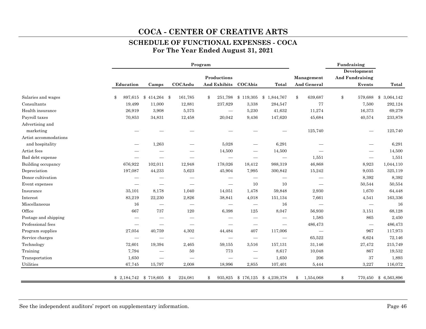## **SCHEDULE OF FUNCTIONAL EXPENSES - COCA For The Year Ended August 31, 2021**

|                       |               |                            |                          | Program     |                          |                                 |                                 |                          | Fundraising<br>Development |                            |
|-----------------------|---------------|----------------------------|--------------------------|-------------|--------------------------|---------------------------------|---------------------------------|--------------------------|----------------------------|----------------------------|
|                       |               |                            |                          | Productions |                          |                                 |                                 | Management               | <b>And Fundraising</b>     |                            |
|                       | Education     | Camps                      | COCAedu                  |             |                          | And Exhibits COCAbiz            | Total                           | And General              | Events                     | Total                      |
| Salaries and wages    | \$<br>897,615 | $$414,264$ \\$             | 161,785                  | \$          |                          |                                 | 251,798 \$ 119,305 \$ 1,844,767 | \$<br>639,687            | \$<br>579,688              | 3,064,142<br>$\mathbf{\$}$ |
| Consultants           | 19,499        | 11,000                     | 12,881                   |             | 237,829                  | 3,338                           | 284,547                         | 77                       | 7,500                      | 292,124                    |
| Health insurance      | 26,919        | 3,908                      | 5,575                    |             | $\overline{\phantom{0}}$ | 5,230                           | 41,632                          | 11,274                   | 16,373                     | 69,279                     |
| Payroll taxes         | 70,853        | 34,831                     | 12,458                   |             | 20,042                   | 9,436                           | 147,620                         | 45,684                   | 40,574                     | 233,878                    |
| Advertising and       |               |                            |                          |             |                          |                                 |                                 |                          |                            |                            |
| marketing             |               |                            |                          |             |                          |                                 |                                 | 125,740                  |                            | 125,740                    |
| Artist accommodations |               |                            |                          |             |                          |                                 |                                 |                          |                            |                            |
| and hospitality       |               | 1,263                      |                          |             | 5,028                    |                                 | 6,291                           |                          |                            | 6,291                      |
| Artist fees           |               |                            |                          |             | 14,500                   |                                 | 14,500                          |                          |                            | 14,500                     |
| Bad debt expense      |               |                            |                          |             |                          |                                 | $\overbrace{\qquad \qquad }^{}$ | 1,551                    | $\qquad \qquad -$          | 1,551                      |
| Building occupancy    | 676,922       | 102,011                    | 12,948                   |             | 178,026                  | 18,412                          | 988,319                         | 46,868                   | 8,923                      | 1,044,110                  |
| Depreciation          | 197,087       | 44,233                     | 5,623                    |             | 45,904                   | 7,995                           | 300,842                         | 15,242                   | 9,035                      | 325,119                    |
| Donor cultivation     |               |                            |                          |             |                          |                                 |                                 |                          | 8,392                      | 8,392                      |
| Event expenses        |               |                            |                          |             | $\overline{\phantom{0}}$ | 10                              | 10                              |                          | 50,544                     | 50,554                     |
| Insurance             | 35,101        | 8,178                      | 1,040                    |             | 14,051                   | 1,478                           | 59,848                          | 2,930                    | 1,670                      | 64,448                     |
| Interest              | 83,219        | 22,230                     | 2,826                    |             | 38,841                   | 4,018                           | 151,134                         | 7,661                    | 4,541                      | 163,336                    |
| Miscellaneous         | 16            | $\overline{\phantom{0}}$   |                          |             | $\overline{\phantom{0}}$ | $\overline{\phantom{m}}$        | 16                              | $\overline{\phantom{0}}$ |                            | 16                         |
| Office                | 667           | 737                        | 120                      |             | 6,398                    | 125                             | 8,047                           | 56,930                   | 3,151                      | 68,128                     |
| Postage and shipping  |               | $\overline{\phantom{0}}$   | $\overline{\phantom{m}}$ |             | $\overline{\phantom{0}}$ | $\overline{\phantom{m}}$        |                                 | 1,585                    | 865                        | 2,450                      |
| Professional fees     |               | $\overline{\phantom{0}}$   | $\overline{\phantom{m}}$ |             |                          |                                 |                                 | 486,473                  | $\overline{\phantom{m}}$   | 486,473                    |
| Program supplies      | 27,054        | 40,759                     | 4,302                    |             | 44,484                   | 407                             | 117,006                         |                          | 967                        | 117,973                    |
| Service charges       |               |                            |                          |             |                          | $\hspace{0.1mm}-\hspace{0.1mm}$ |                                 | 65,522                   | 6,624                      | 72,146                     |
| Technology            | 72,601        | 19,394                     | 2,465                    |             | 59,155                   | 3,516                           | 157,131                         | 31,146                   | 27,472                     | 215,749                    |
| Training              | 7,794         |                            | 50                       |             | 773                      | $\overline{\phantom{m}}$        | 8,617                           | 10,048                   | 867                        | 19,532                     |
| Transportation        | 1,650         | $\overline{\phantom{0}}$   | $\overline{\phantom{a}}$ |             |                          | $\hspace{0.1mm}-\hspace{0.1mm}$ | 1,650                           | $\,206$                  | 37                         | 1,893                      |
| Utilities             | 67,745        | 15,797                     | 2,008                    |             | 18,996                   | 2,855                           | 107,401                         | 5,444                    | 3,227                      | 116,072                    |
|                       |               | $$2,184,742$ $$718,605$ \$ | 224,081                  | \$          |                          | 935,825 \$ 176,125              | \$4,239,378                     | \$<br>1,554,068          | \$                         | 770,450 \$6,563,896        |

See the independent auditors' report on supplementary information. Page 46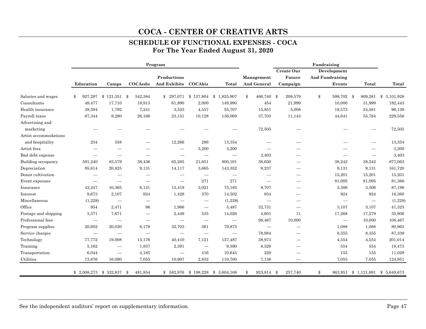## **SCHEDULE OF FUNCTIONAL EXPENSES - COCA For The Year Ended August 31, 2020**

| Create Our<br>Development<br>Productions<br><b>Future</b><br><b>And Fundraising</b><br>Management<br>COCAedu<br><b>And Exhibits</b><br>COCAbiz<br>And General<br>Education<br>Total<br>Campaign<br>Events<br>Camps<br>\$<br>$$121,351$ \$<br>342,384<br>\$137,804<br>466,740 \$<br>Salaries and wages<br>927,297<br>\$297,071<br>\$1,825,907<br>209,579<br>599,702 \$<br>\$<br>\$<br>Consultants<br>49,477<br>17,710<br>18,913<br>2,000<br>149,990<br>454<br>21,999<br>61,890<br>10,000<br>Health insurance<br>55,707<br>5,008<br>38,594<br>1,792<br>7,241<br>3,523<br>4,557<br>15,851<br>19,573<br>Payroll taxes<br>67,344<br>26,166<br>10,128<br>11,143<br>44,641<br>9,280<br>23,151<br>136,069<br>37,703<br>Advertising and<br>marketing<br>72,505<br>Artist accommodations<br>and hospitality<br>234<br>558<br>12,266<br>296<br>13,354 |                                 |           |
|--------------------------------------------------------------------------------------------------------------------------------------------------------------------------------------------------------------------------------------------------------------------------------------------------------------------------------------------------------------------------------------------------------------------------------------------------------------------------------------------------------------------------------------------------------------------------------------------------------------------------------------------------------------------------------------------------------------------------------------------------------------------------------------------------------------------------------------------|---------------------------------|-----------|
|                                                                                                                                                                                                                                                                                                                                                                                                                                                                                                                                                                                                                                                                                                                                                                                                                                            |                                 |           |
|                                                                                                                                                                                                                                                                                                                                                                                                                                                                                                                                                                                                                                                                                                                                                                                                                                            |                                 |           |
|                                                                                                                                                                                                                                                                                                                                                                                                                                                                                                                                                                                                                                                                                                                                                                                                                                            | Total                           | Total     |
|                                                                                                                                                                                                                                                                                                                                                                                                                                                                                                                                                                                                                                                                                                                                                                                                                                            | 809,281<br>\$                   | 3,101,928 |
|                                                                                                                                                                                                                                                                                                                                                                                                                                                                                                                                                                                                                                                                                                                                                                                                                                            | 31,999                          | 182,443   |
|                                                                                                                                                                                                                                                                                                                                                                                                                                                                                                                                                                                                                                                                                                                                                                                                                                            | 24,581                          | 96,139    |
|                                                                                                                                                                                                                                                                                                                                                                                                                                                                                                                                                                                                                                                                                                                                                                                                                                            | 55,784                          | 229,556   |
|                                                                                                                                                                                                                                                                                                                                                                                                                                                                                                                                                                                                                                                                                                                                                                                                                                            |                                 |           |
|                                                                                                                                                                                                                                                                                                                                                                                                                                                                                                                                                                                                                                                                                                                                                                                                                                            |                                 | 72,505    |
|                                                                                                                                                                                                                                                                                                                                                                                                                                                                                                                                                                                                                                                                                                                                                                                                                                            |                                 |           |
|                                                                                                                                                                                                                                                                                                                                                                                                                                                                                                                                                                                                                                                                                                                                                                                                                                            |                                 | 13,354    |
| Artist fees<br>3,200<br>3,200<br>$\hspace{0.1mm}-\hspace{0.1mm}$                                                                                                                                                                                                                                                                                                                                                                                                                                                                                                                                                                                                                                                                                                                                                                           |                                 | 3,200     |
| Bad debt expense<br>3,403<br>$\hspace{0.1mm}-\hspace{0.1mm}$                                                                                                                                                                                                                                                                                                                                                                                                                                                                                                                                                                                                                                                                                                                                                                               | $\hspace{0.1mm}-\hspace{0.1mm}$ | 3,403     |
| 38,630<br>Building occupancy<br>591,240<br>38,436<br>65,285<br>21,651<br>800,191<br>38,242<br>83,579                                                                                                                                                                                                                                                                                                                                                                                                                                                                                                                                                                                                                                                                                                                                       | 38,242                          | 877,063   |
| Depreciation<br>95,614<br>9,131<br>9,131<br>20,825<br>14,117<br>3,665<br>143,352<br>9,237                                                                                                                                                                                                                                                                                                                                                                                                                                                                                                                                                                                                                                                                                                                                                  | 9,131                           | 161,720   |
| Donor cultivation<br>15,201<br>—<br>-<br>-                                                                                                                                                                                                                                                                                                                                                                                                                                                                                                                                                                                                                                                                                                                                                                                                 | 15,201                          | 15,201    |
| 271<br>271<br>Event expenses<br>81,095<br>$\overline{\phantom{m}}$<br>سند ا<br>_                                                                                                                                                                                                                                                                                                                                                                                                                                                                                                                                                                                                                                                                                                                                                           | 81,095                          | 81,366    |
| 3,306<br>Insurance<br>42,247<br>10,365<br>6,131<br>13,419<br>3,021<br>75,183<br>8,707                                                                                                                                                                                                                                                                                                                                                                                                                                                                                                                                                                                                                                                                                                                                                      | 3,306                           | 87,196    |
| 9,673<br>924<br>1,428<br>370<br>934<br>924<br>Interest<br>2,107<br>14,502                                                                                                                                                                                                                                                                                                                                                                                                                                                                                                                                                                                                                                                                                                                                                                  | 924                             | 16,360    |
| Miscellaneous<br>(1,228)<br>(1,228)<br>$\overbrace{\phantom{1232211}}$<br>$\overline{\phantom{m}}$<br>$\hspace{0.1mm}-\hspace{0.1mm}$<br>$\overline{\phantom{m}}$<br>$\overbrace{\phantom{1232211}}$                                                                                                                                                                                                                                                                                                                                                                                                                                                                                                                                                                                                                                       |                                 | (1,228)   |
| Office<br>954<br>2,471<br>96<br>1,966<br>5,487<br>32,731<br>3,107<br>$\hspace{0.1mm}-\hspace{0.1mm}$                                                                                                                                                                                                                                                                                                                                                                                                                                                                                                                                                                                                                                                                                                                                       | 3,107                           | 41,325    |
| Postage and shipping<br>3,371<br>7,671<br>4,601<br>17,268<br>2,449<br>535<br>14,026<br>11<br>—                                                                                                                                                                                                                                                                                                                                                                                                                                                                                                                                                                                                                                                                                                                                             | 17,279                          | 35,906    |
| Professional fees<br>98,467<br>10,000<br>$\overline{\phantom{m}}$<br>$\overline{\phantom{m}}$<br>$\hspace{0.1mm}-\hspace{0.1mm}$<br>$\hspace{0.1mm}-\hspace{0.1mm}$                                                                                                                                                                                                                                                                                                                                                                                                                                                                                                                                                                                                                                                                        | 10,000                          | 108,467   |
| Program supplies<br>20,602<br>20,030<br>6,179<br>32,703<br>361<br>79,875<br>1,088<br>$\overbrace{\phantom{1232211}}$                                                                                                                                                                                                                                                                                                                                                                                                                                                                                                                                                                                                                                                                                                                       | 1,088                           | 80,963    |
| Service charges<br>78,984<br>8,355<br>$\hspace{0.1mm}-\hspace{0.1mm}$<br>$\hspace{0.1mm}-\hspace{0.1mm}$<br>$\hspace{0.1mm}-\hspace{0.1mm}$                                                                                                                                                                                                                                                                                                                                                                                                                                                                                                                                                                                                                                                                                                | 8,355                           | 87,339    |
| Technology<br>77,772<br>38,973<br>19,008<br>13,176<br>40,410<br>7,121<br>157,487<br>4,554                                                                                                                                                                                                                                                                                                                                                                                                                                                                                                                                                                                                                                                                                                                                                  | 4,554                           | 201,014   |
| Training<br>5,162<br>1,837<br>2,391<br>9,390<br>8,529<br>554<br>$\overline{\phantom{m}}$<br>$\hspace{0.1mm}-\hspace{0.1mm}$<br>_                                                                                                                                                                                                                                                                                                                                                                                                                                                                                                                                                                                                                                                                                                           | 554                             | 18,473    |
| 229<br>Transportation<br>6,044<br>4,185<br>416<br>10,645<br>155<br>$\overline{\phantom{m}}$<br>$\overline{\phantom{0}}$                                                                                                                                                                                                                                                                                                                                                                                                                                                                                                                                                                                                                                                                                                                    | 155                             | 11,029    |
| Utilities<br>73,876<br>2,832<br>7,136<br>16,090<br>7,055<br>10,907<br>110,760<br>7,055                                                                                                                                                                                                                                                                                                                                                                                                                                                                                                                                                                                                                                                                                                                                                     | 7,055                           | 124,951   |
| 257,740<br>\$<br>\$2,008,273<br>\$332,837<br>481,854<br>$$582,976$ $$198,228$<br>\$3,604,168<br>\$<br>923,814 \$<br>863,951<br>- \$                                                                                                                                                                                                                                                                                                                                                                                                                                                                                                                                                                                                                                                                                                        | $$1,121,691$ $$5,649,673$       |           |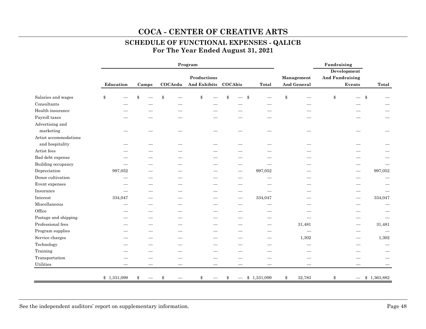## **COCA - CENTER OF CREATIVE ARTS SCHEDULE OF FUNCTIONAL EXPENSES - QALICB**

**For The Year Ended August 31, 2021** 

|                       |             |       |         | Program              |                        |                    | Fundraising<br>Development |                  |
|-----------------------|-------------|-------|---------|----------------------|------------------------|--------------------|----------------------------|------------------|
|                       |             |       |         | Productions          |                        | Management         | <b>And Fundraising</b>     |                  |
|                       | Education   | Camps | COCAedu | And Exhibits COCAbiz | <b>Total</b>           | <b>And General</b> | Events                     | Total            |
| Salaries and wages    | \$          | \$    |         | \$                   | \$                     | \$                 | \$<br>\$                   |                  |
| Consultants           |             |       |         |                      |                        |                    |                            |                  |
| Health insurance      |             |       |         |                      |                        |                    |                            |                  |
| Payroll taxes         |             |       |         |                      |                        |                    |                            |                  |
| Advertising and       |             |       |         |                      |                        |                    |                            |                  |
| marketing             |             |       |         |                      |                        |                    |                            |                  |
| Artist accommodations |             |       |         |                      |                        |                    |                            |                  |
| and hospitality       |             |       |         |                      |                        |                    |                            |                  |
| Artist fees           |             |       |         |                      |                        |                    |                            |                  |
| Bad debt expense      |             |       |         |                      |                        |                    |                            |                  |
| Building occupancy    |             |       |         |                      |                        |                    |                            |                  |
| Depreciation          | 997,052     |       |         |                      | 997,052                |                    |                            | 997,052          |
| Donor cultivation     |             |       |         |                      |                        |                    |                            |                  |
| Event expenses        |             |       |         |                      |                        |                    |                            |                  |
| Insurance             |             |       |         |                      |                        |                    |                            |                  |
| Interest              | 334,047     |       |         |                      | 334,047                |                    |                            | 334,047          |
| Miscellaneous         |             |       |         |                      |                        |                    |                            |                  |
| Office                |             |       |         |                      |                        |                    |                            |                  |
| Postage and shipping  |             |       |         |                      |                        |                    |                            |                  |
| Professional fees     |             |       |         |                      |                        | 31,481             |                            | 31,481           |
| Program supplies      |             |       |         |                      |                        |                    |                            |                  |
| Service charges       |             |       |         |                      |                        | 1,302              |                            | 1,302            |
| Technology            |             |       |         |                      |                        |                    |                            |                  |
| Training              |             |       |         |                      |                        |                    |                            |                  |
| Transportation        |             |       |         |                      |                        |                    |                            |                  |
| Utilities             |             |       |         |                      |                        |                    |                            |                  |
|                       | \$1,331,099 | \$    | \$      | \$                   | \$<br>$-$ \$ 1,331,099 | \$<br>32,783       | \$                         | $-$ \$ 1,363,882 |

See the independent auditors' report on supplementary information. Page 48